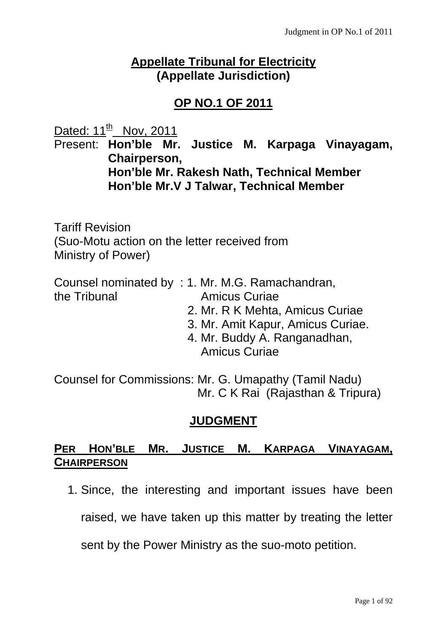# **Appellate Tribunal for Electricity (Appellate Jurisdiction)**

# **OP NO.1 OF 2011**

Dated:  $11^{th}$  Nov, 2011

Present: **Hon'ble Mr. Justice M. Karpaga Vinayagam, Chairperson, Hon'ble Mr. Rakesh Nath, Technical Member Hon'ble Mr.V J Talwar, Technical Member** 

Tariff Revision (Suo-Motu action on the letter received from Ministry of Power)

|              | Counsel nominated by : 1. Mr. M.G. Ramachandran, |  |
|--------------|--------------------------------------------------|--|
| the Tribunal | <b>Amicus Curiae</b>                             |  |

- 2. Mr. R K Mehta, Amicus Curiae
- 3. Mr. Amit Kapur, Amicus Curiae.
- 4. Mr. Buddy A. Ranganadhan, Amicus Curiae

Counsel for Commissions: Mr. G. Umapathy (Tamil Nadu) Mr. C K Rai (Rajasthan & Tripura)

# **JUDGMENT**

# **PER HON'BLE MR. JUSTICE M. KARPAGA VINAYAGAM, CHAIRPERSON**

1. Since, the interesting and important issues have been

raised, we have taken up this matter by treating the letter

sent by the Power Ministry as the suo-moto petition.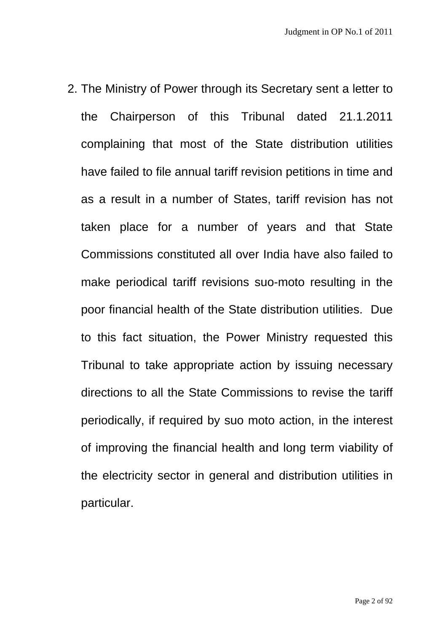2. The Ministry of Power through its Secretary sent a letter to the Chairperson of this Tribunal dated 21.1.2011 complaining that most of the State distribution utilities have failed to file annual tariff revision petitions in time and as a result in a number of States, tariff revision has not taken place for a number of years and that State Commissions constituted all over India have also failed to make periodical tariff revisions suo-moto resulting in the poor financial health of the State distribution utilities. Due to this fact situation, the Power Ministry requested this Tribunal to take appropriate action by issuing necessary directions to all the State Commissions to revise the tariff periodically, if required by suo moto action, in the interest of improving the financial health and long term viability of the electricity sector in general and distribution utilities in particular.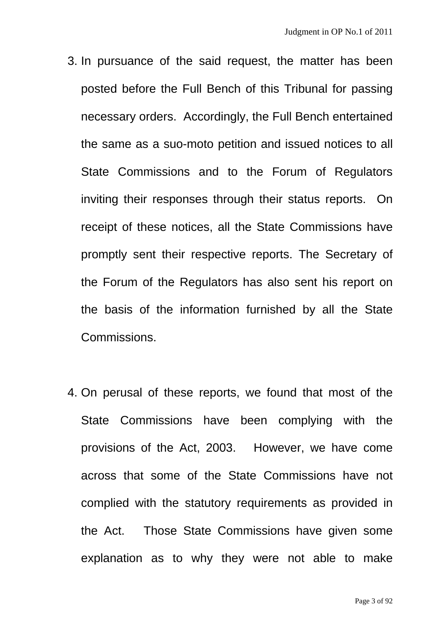- 3. In pursuance of the said request, the matter has been posted before the Full Bench of this Tribunal for passing necessary orders. Accordingly, the Full Bench entertained the same as a suo-moto petition and issued notices to all State Commissions and to the Forum of Regulators inviting their responses through their status reports. On receipt of these notices, all the State Commissions have promptly sent their respective reports. The Secretary of the Forum of the Regulators has also sent his report on the basis of the information furnished by all the State Commissions.
- 4. On perusal of these reports, we found that most of the State Commissions have been complying with the provisions of the Act, 2003. However, we have come across that some of the State Commissions have not complied with the statutory requirements as provided in the Act. Those State Commissions have given some explanation as to why they were not able to make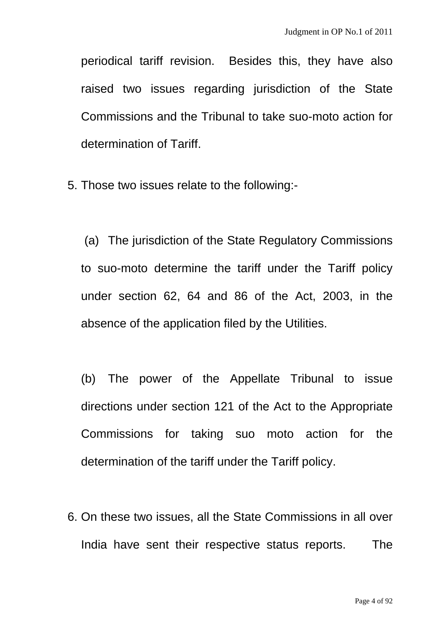periodical tariff revision. Besides this, they have also raised two issues regarding jurisdiction of the State Commissions and the Tribunal to take suo-moto action for determination of Tariff.

5. Those two issues relate to the following:-

 (a) The jurisdiction of the State Regulatory Commissions to suo-moto determine the tariff under the Tariff policy under section 62, 64 and 86 of the Act, 2003, in the absence of the application filed by the Utilities.

(b) The power of the Appellate Tribunal to issue directions under section 121 of the Act to the Appropriate Commissions for taking suo moto action for the determination of the tariff under the Tariff policy.

6. On these two issues, all the State Commissions in all over India have sent their respective status reports. The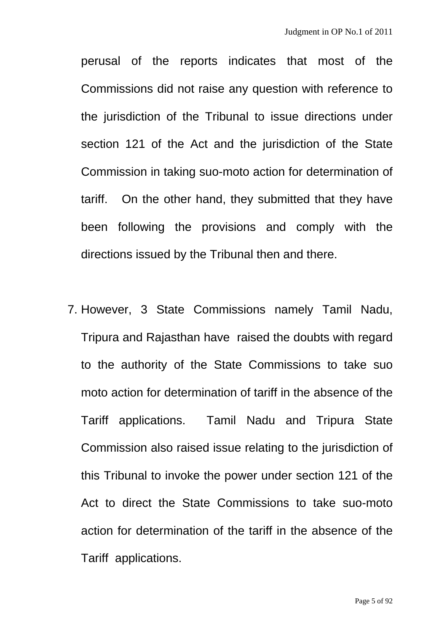perusal of the reports indicates that most of the Commissions did not raise any question with reference to the jurisdiction of the Tribunal to issue directions under section 121 of the Act and the jurisdiction of the State Commission in taking suo-moto action for determination of tariff. On the other hand, they submitted that they have been following the provisions and comply with the directions issued by the Tribunal then and there.

7. However, 3 State Commissions namely Tamil Nadu, Tripura and Rajasthan have raised the doubts with regard to the authority of the State Commissions to take suo moto action for determination of tariff in the absence of the Tariff applications. Tamil Nadu and Tripura State Commission also raised issue relating to the jurisdiction of this Tribunal to invoke the power under section 121 of the Act to direct the State Commissions to take suo-moto action for determination of the tariff in the absence of the Tariff applications.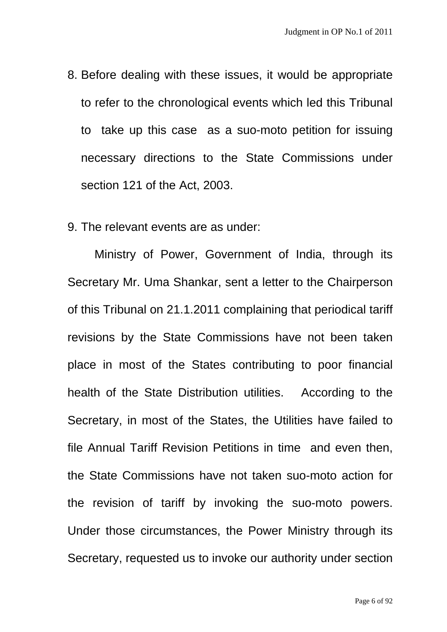- 8. Before dealing with these issues, it would be appropriate to refer to the chronological events which led this Tribunal to take up this case as a suo-moto petition for issuing necessary directions to the State Commissions under section 121 of the Act, 2003.
- 9. The relevant events are as under:

Ministry of Power, Government of India, through its Secretary Mr. Uma Shankar, sent a letter to the Chairperson of this Tribunal on 21.1.2011 complaining that periodical tariff revisions by the State Commissions have not been taken place in most of the States contributing to poor financial health of the State Distribution utilities. According to the Secretary, in most of the States, the Utilities have failed to file Annual Tariff Revision Petitions in time and even then, the State Commissions have not taken suo-moto action for the revision of tariff by invoking the suo-moto powers. Under those circumstances, the Power Ministry through its Secretary, requested us to invoke our authority under section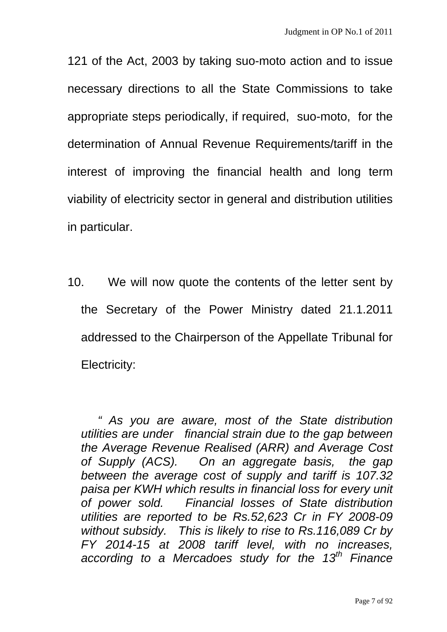121 of the Act, 2003 by taking suo-moto action and to issue necessary directions to all the State Commissions to take appropriate steps periodically, if required, suo-moto, for the determination of Annual Revenue Requirements/tariff in the interest of improving the financial health and long term viability of electricity sector in general and distribution utilities in particular.

10. We will now quote the contents of the letter sent by the Secretary of the Power Ministry dated 21.1.2011 addressed to the Chairperson of the Appellate Tribunal for Electricity:

 *" As you are aware, most of the State distribution utilities are under financial strain due to the gap between the Average Revenue Realised (ARR) and Average Cost of Supply (ACS). On an aggregate basis, the gap between the average cost of supply and tariff is 107.32 paisa per KWH which results in financial loss for every unit of power sold. Financial losses of State distribution utilities are reported to be Rs.52,623 Cr in FY 2008-09 without subsidy. This is likely to rise to Rs.116,089 Cr by FY 2014-15 at 2008 tariff level, with no increases, according to a Mercadoes study for the 13th Finance*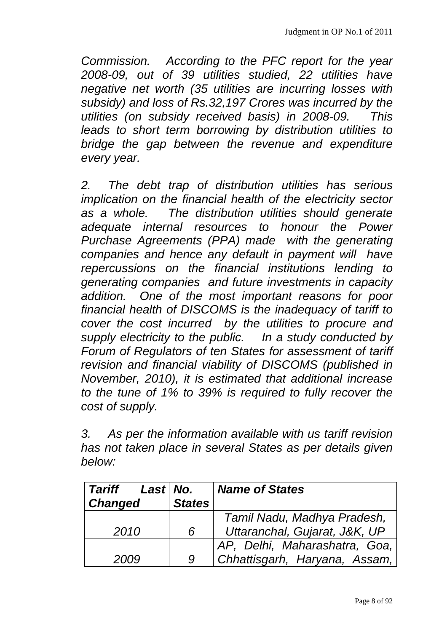*Commission. According to the PFC report for the year 2008-09, out of 39 utilities studied, 22 utilities have negative net worth (35 utilities are incurring losses with subsidy) and loss of Rs.32,197 Crores was incurred by the utilities (on subsidy received basis) in 2008-09. This leads to short term borrowing by distribution utilities to bridge the gap between the revenue and expenditure every year.* 

*2. The debt trap of distribution utilities has serious implication on the financial health of the electricity sector as a whole. The distribution utilities should generate adequate internal resources to honour the Power Purchase Agreements (PPA) made with the generating companies and hence any default in payment will have repercussions on the financial institutions lending to generating companies and future investments in capacity addition. One of the most important reasons for poor financial health of DISCOMS is the inadequacy of tariff to cover the cost incurred by the utilities to procure and supply electricity to the public. In a study conducted by Forum of Regulators of ten States for assessment of tariff revision and financial viability of DISCOMS (published in November, 2010), it is estimated that additional increase to the tune of 1% to 39% is required to fully recover the cost of supply.* 

*3. As per the information available with us tariff revision has not taken place in several States as per details given below:* 

| Tariff<br>Last No. |               | <b>Name of States</b>         |
|--------------------|---------------|-------------------------------|
| <b>Changed</b>     | <b>States</b> |                               |
|                    |               | Tamil Nadu, Madhya Pradesh,   |
| 2010               | 6             | Uttaranchal, Gujarat, J&K, UP |
|                    |               | AP, Delhi, Maharashatra, Goa, |
| 2009               | 9             | Chhattisgarh, Haryana, Assam, |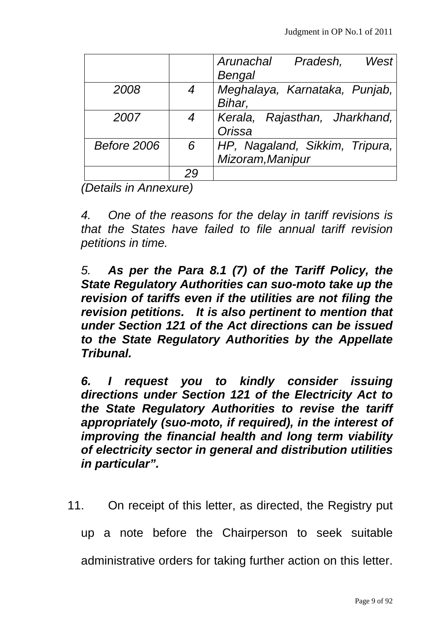|                    |                | West<br>Arunachal Pradesh,<br>Bengal               |
|--------------------|----------------|----------------------------------------------------|
| 2008               | $\overline{4}$ | Meghalaya, Karnataka, Punjab,<br>Bihar,            |
| 2007               | $\overline{4}$ | Kerala, Rajasthan, Jharkhand,<br>Orissa            |
| <b>Before 2006</b> | 6              | HP, Nagaland, Sikkim, Tripura,<br>Mizoram, Manipur |
|                    | 29             |                                                    |

*(Details in Annexure)* 

*4. One of the reasons for the delay in tariff revisions is that the States have failed to file annual tariff revision petitions in time.* 

*5. As per the Para 8.1 (7) of the Tariff Policy, the State Regulatory Authorities can suo-moto take up the revision of tariffs even if the utilities are not filing the revision petitions. It is also pertinent to mention that under Section 121 of the Act directions can be issued to the State Regulatory Authorities by the Appellate Tribunal.* 

*6. I request you to kindly consider issuing directions under Section 121 of the Electricity Act to the State Regulatory Authorities to revise the tariff appropriately (suo-moto, if required), in the interest of improving the financial health and long term viability of electricity sector in general and distribution utilities in particular".* 

11. On receipt of this letter, as directed, the Registry put

up a note before the Chairperson to seek suitable

administrative orders for taking further action on this letter.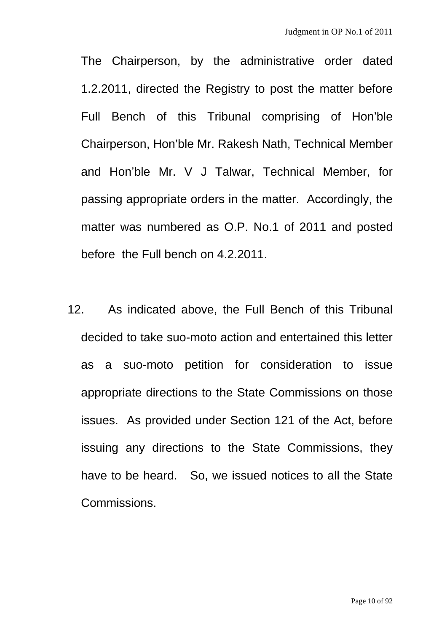The Chairperson, by the administrative order dated 1.2.2011, directed the Registry to post the matter before Full Bench of this Tribunal comprising of Hon'ble Chairperson, Hon'ble Mr. Rakesh Nath, Technical Member and Hon'ble Mr. V J Talwar, Technical Member, for passing appropriate orders in the matter. Accordingly, the matter was numbered as O.P. No.1 of 2011 and posted before the Full bench on 4.2.2011.

12. As indicated above, the Full Bench of this Tribunal decided to take suo-moto action and entertained this letter as a suo-moto petition for consideration to issue appropriate directions to the State Commissions on those issues. As provided under Section 121 of the Act, before issuing any directions to the State Commissions, they have to be heard. So, we issued notices to all the State Commissions.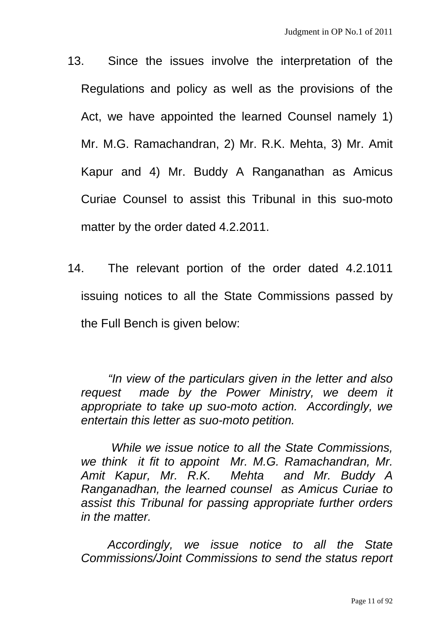- 13. Since the issues involve the interpretation of the Regulations and policy as well as the provisions of the Act, we have appointed the learned Counsel namely 1) Mr. M.G. Ramachandran, 2) Mr. R.K. Mehta, 3) Mr. Amit Kapur and 4) Mr. Buddy A Ranganathan as Amicus Curiae Counsel to assist this Tribunal in this suo-moto matter by the order dated 4.2.2011.
- 14. The relevant portion of the order dated 4.2.1011 issuing notices to all the State Commissions passed by the Full Bench is given below:

*"In view of the particulars given in the letter and also request made by the Power Ministry, we deem it appropriate to take up suo-moto action. Accordingly, we entertain this letter as suo-moto petition.* 

 *While we issue notice to all the State Commissions, we think it fit to appoint Mr. M.G. Ramachandran, Mr. Amit Kapur, Mr. R.K. Mehta and Mr. Buddy A Ranganadhan, the learned counsel as Amicus Curiae to assist this Tribunal for passing appropriate further orders in the matter.* 

 *Accordingly, we issue notice to all the State Commissions/Joint Commissions to send the status report*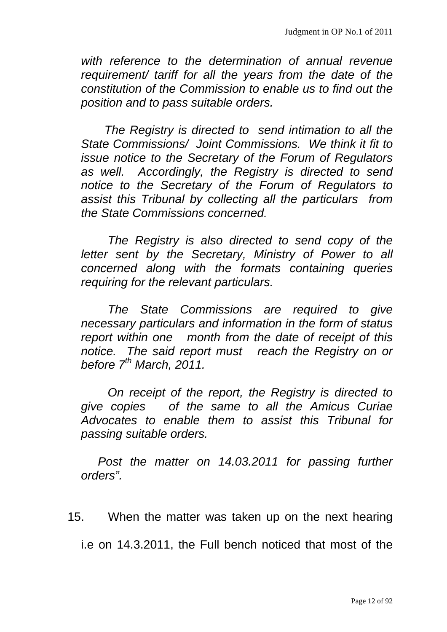*with reference to the determination of annual revenue requirement/ tariff for all the years from the date of the constitution of the Commission to enable us to find out the position and to pass suitable orders.* 

 *The Registry is directed to send intimation to all the State Commissions/ Joint Commissions. We think it fit to issue notice to the Secretary of the Forum of Regulators as well. Accordingly, the Registry is directed to send notice to the Secretary of the Forum of Regulators to assist this Tribunal by collecting all the particulars from the State Commissions concerned.* 

 *The Registry is also directed to send copy of the letter sent by the Secretary, Ministry of Power to all concerned along with the formats containing queries requiring for the relevant particulars.* 

 *The State Commissions are required to give necessary particulars and information in the form of status report within one month from the date of receipt of this notice. The said report must reach the Registry on or before 7th March, 2011.* 

 *On receipt of the report, the Registry is directed to give copies of the same to all the Amicus Curiae Advocates to enable them to assist this Tribunal for passing suitable orders.* 

*Post the matter on 14.03.2011 for passing further orders".* 

15. When the matter was taken up on the next hearing

i.e on 14.3.2011, the Full bench noticed that most of the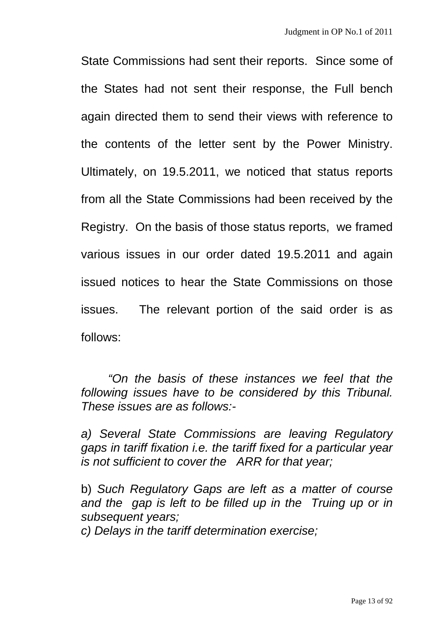State Commissions had sent their reports. Since some of the States had not sent their response, the Full bench again directed them to send their views with reference to the contents of the letter sent by the Power Ministry. Ultimately, on 19.5.2011, we noticed that status reports from all the State Commissions had been received by the Registry. On the basis of those status reports, we framed various issues in our order dated 19.5.2011 and again issued notices to hear the State Commissions on those issues. The relevant portion of the said order is as follows:

*"On the basis of these instances we feel that the following issues have to be considered by this Tribunal. These issues are as follows:-* 

*a) Several State Commissions are leaving Regulatory gaps in tariff fixation i.e. the tariff fixed for a particular year is not sufficient to cover the ARR for that year;* 

b) *Such Regulatory Gaps are left as a matter of course and the gap is left to be filled up in the Truing up or in subsequent years;* 

*c) Delays in the tariff determination exercise;*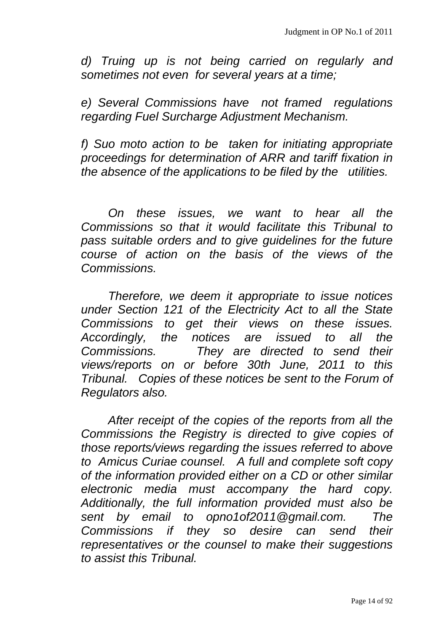*d) Truing up is not being carried on regularly and sometimes not even for several years at a time;* 

*e) Several Commissions have not framed regulations regarding Fuel Surcharge Adjustment Mechanism.* 

*f) Suo moto action to be taken for initiating appropriate proceedings for determination of ARR and tariff fixation in the absence of the applications to be filed by the utilities.* 

*On these issues, we want to hear all the Commissions so that it would facilitate this Tribunal to pass suitable orders and to give guidelines for the future course of action on the basis of the views of the Commissions.* 

*Therefore, we deem it appropriate to issue notices under Section 121 of the Electricity Act to all the State Commissions to get their views on these issues. Accordingly, the notices are issued to all the Commissions. They are directed to send their views/reports on or before 30th June, 2011 to this Tribunal. Copies of these notices be sent to the Forum of Regulators also.* 

*After receipt of the copies of the reports from all the Commissions the Registry is directed to give copies of those reports/views regarding the issues referred to above to Amicus Curiae counsel. A full and complete soft copy of the information provided either on a CD or other similar electronic media must accompany the hard copy. Additionally, the full information provided must also be sent by email to opno1of2011@gmail.com. The Commissions if they so desire can send their representatives or the counsel to make their suggestions to assist this Tribunal.*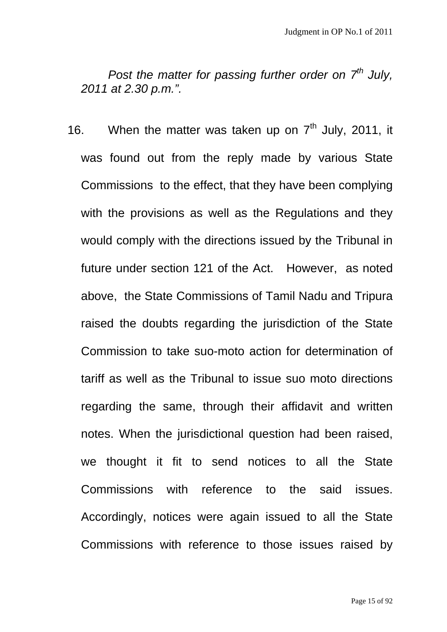*Post the matter for passing further order on 7<sup>th</sup> July, 2011 at 2.30 p.m.".* 

16. When the matter was taken up on  $7<sup>th</sup>$  July, 2011, it was found out from the reply made by various State Commissions to the effect, that they have been complying with the provisions as well as the Regulations and they would comply with the directions issued by the Tribunal in future under section 121 of the Act. However, as noted above, the State Commissions of Tamil Nadu and Tripura raised the doubts regarding the jurisdiction of the State Commission to take suo-moto action for determination of tariff as well as the Tribunal to issue suo moto directions regarding the same, through their affidavit and written notes. When the jurisdictional question had been raised, we thought it fit to send notices to all the State Commissions with reference to the said issues. Accordingly, notices were again issued to all the State Commissions with reference to those issues raised by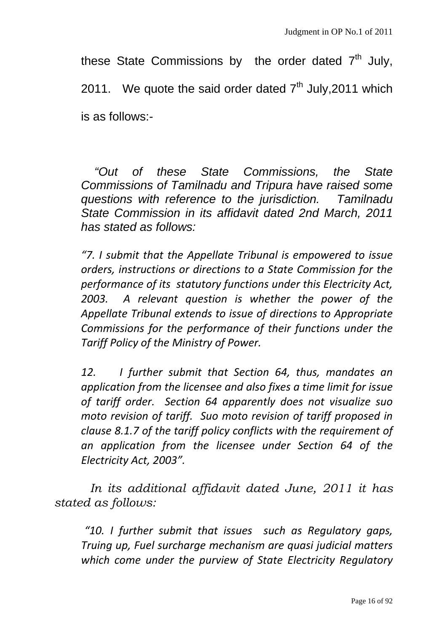these State Commissions by the order dated  $7<sup>th</sup>$  July, 2011. We quote the said order dated  $7<sup>th</sup>$  July, 2011 which is as follows:-

 *"Out of these State Commissions, the State Commissions of Tamilnadu and Tripura have raised some questions with reference to the jurisdiction. Tamilnadu State Commission in its affidavit dated 2nd March, 2011 has stated as follows:* 

*"7. I submit that the Appellate Tribunal is empowered to issue orders, instructions or directions to a State Commission for the performance of its statutory functions under this Electricity Act, 2003. A relevant question is whether the power of the Appellate Tribunal extends to issue of directions to Appropriate Commissions for the performance of their functions under the Tariff Policy of the Ministry of Power.* 

*12. I further submit that Section 64, thus, mandates an application from the licensee and also fixes a time limit for issue of tariff order. Section 64 apparently does not visualize suo moto revision of tariff. Suo moto revision of tariff proposed in clause 8.1.7 of the tariff policy conflicts with the requirement of an application from the licensee under Section 64 of the Electricity Act, 2003".* 

 *In its additional affidavit dated June, 2011 it has stated as follows:* 

*"10. I further submit that issues such as Regulatory gaps, Truing up, Fuel surcharge mechanism are quasi judicial matters which come under the purview of State Electricity Regulatory*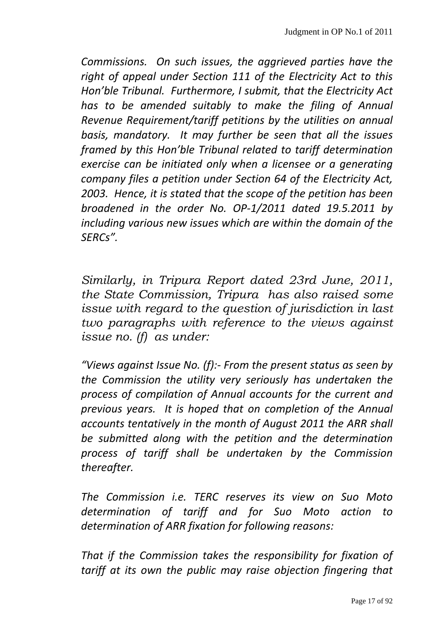*Commissions. On such issues, the aggrieved parties have the right of appeal under Section 111 of the Electricity Act to this Hon'ble Tribunal. Furthermore, I submit, that the Electricity Act has to be amended suitably to make the filing of Annual Revenue Requirement/tariff petitions by the utilities on annual basis, mandatory. It may further be seen that all the issues framed by this Hon'ble Tribunal related to tariff determination exercise can be initiated only when a licensee or a generating company files a petition under Section 64 of the Electricity Act, 2003. Hence, it is stated that the scope of the petition has been broadened in the order No. OP‐1/2011 dated 19.5.2011 by including various new issues which are within the domain of the SERCs".* 

*Similarly, in Tripura Report dated 23rd June, 2011, the State Commission, Tripura has also raised some issue with regard to the question of jurisdiction in last two paragraphs with reference to the views against issue no. (f) as under:* 

*"Views against Issue No. (f):‐ From the present status as seen by the Commission the utility very seriously has undertaken the process of compilation of Annual accounts for the current and previous years. It is hoped that on completion of the Annual accounts tentatively in the month of August 2011 the ARR shall be submitted along with the petition and the determination process of tariff shall be undertaken by the Commission*  $there$  *thereafter.* 

*The Commission i.e. TERC reserves its view on Suo Moto determination of tariff and for Suo Moto action to determination of ARR fixation for following reasons:* 

*That if the Commission takes the responsibility for fixation of tariff at its own the public may raise objection fingering that*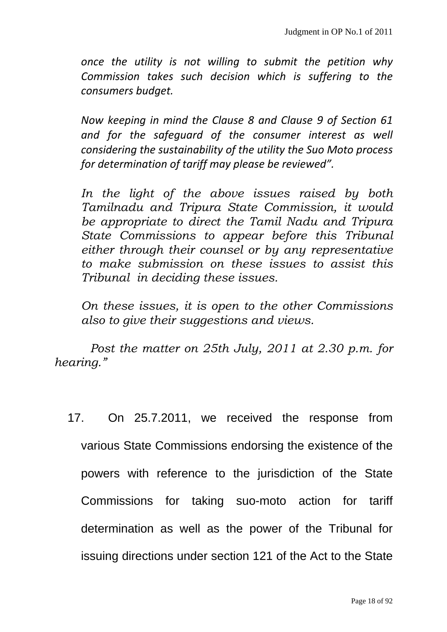*once the utility is not willing to submit the petition why Commission takes such decision which is suffering to the consumers budget.* 

*Now keeping in mind the Clause 8 and Clause 9 of Section 61 and for the safeguard of the consumer interest as well considering the sustainability of the utility the Suo Moto process for determination of tariff may please be reviewed".* 

*In the light of the above issues raised by both Tamilnadu and Tripura State Commission, it would be appropriate to direct the Tamil Nadu and Tripura State Commissions to appear before this Tribunal either through their counsel or by any representative to make submission on these issues to assist this Tribunal in deciding these issues.* 

*On these issues, it is open to the other Commissions also to give their suggestions and views.* 

 *Post the matter on 25th July, 2011 at 2.30 p.m. for hearing."* 

17. On 25.7.2011, we received the response from various State Commissions endorsing the existence of the powers with reference to the jurisdiction of the State Commissions for taking suo-moto action for tariff determination as well as the power of the Tribunal for issuing directions under section 121 of the Act to the State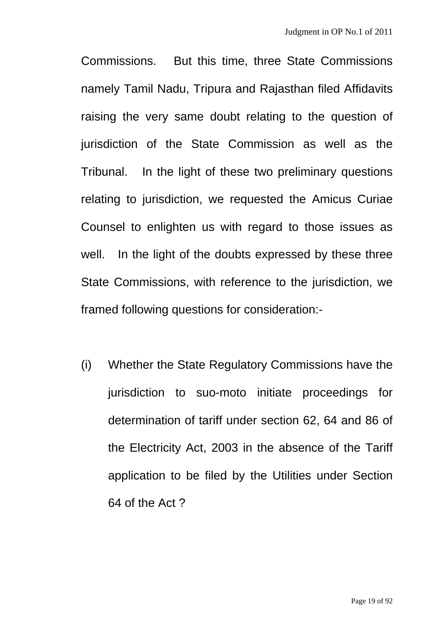Commissions. But this time, three State Commissions namely Tamil Nadu, Tripura and Rajasthan filed Affidavits raising the very same doubt relating to the question of jurisdiction of the State Commission as well as the Tribunal. In the light of these two preliminary questions relating to jurisdiction, we requested the Amicus Curiae Counsel to enlighten us with regard to those issues as well. In the light of the doubts expressed by these three State Commissions, with reference to the jurisdiction, we framed following questions for consideration:-

(i) Whether the State Regulatory Commissions have the jurisdiction to suo-moto initiate proceedings for determination of tariff under section 62, 64 and 86 of the Electricity Act, 2003 in the absence of the Tariff application to be filed by the Utilities under Section 64 of the Act ?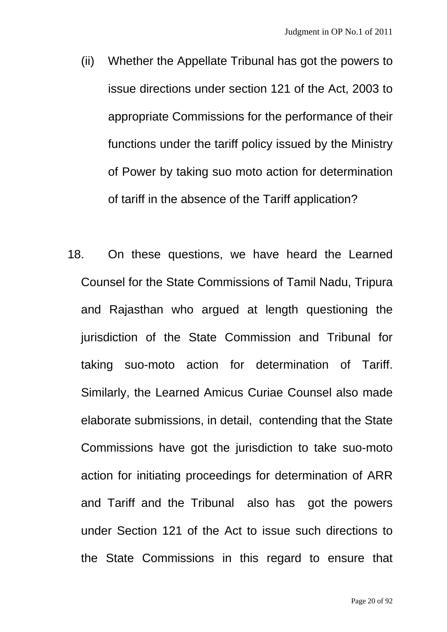- (ii) Whether the Appellate Tribunal has got the powers to issue directions under section 121 of the Act, 2003 to appropriate Commissions for the performance of their functions under the tariff policy issued by the Ministry of Power by taking suo moto action for determination of tariff in the absence of the Tariff application?
- 18. On these questions, we have heard the Learned Counsel for the State Commissions of Tamil Nadu, Tripura and Rajasthan who argued at length questioning the jurisdiction of the State Commission and Tribunal for taking suo-moto action for determination of Tariff. Similarly, the Learned Amicus Curiae Counsel also made elaborate submissions, in detail, contending that the State Commissions have got the jurisdiction to take suo-moto action for initiating proceedings for determination of ARR and Tariff and the Tribunal also has got the powers under Section 121 of the Act to issue such directions to the State Commissions in this regard to ensure that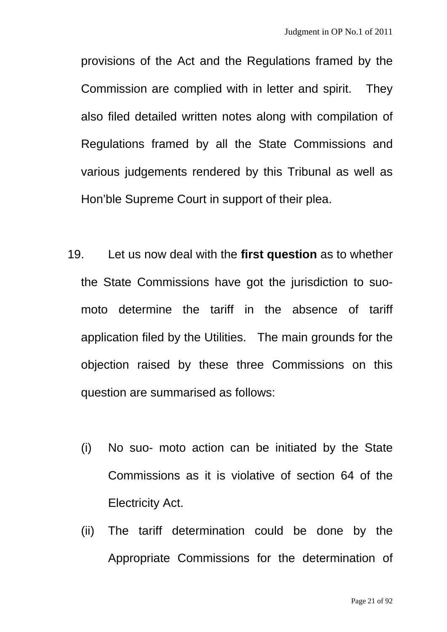provisions of the Act and the Regulations framed by the Commission are complied with in letter and spirit. They also filed detailed written notes along with compilation of Regulations framed by all the State Commissions and various judgements rendered by this Tribunal as well as Hon'ble Supreme Court in support of their plea.

- 19. Let us now deal with the **first question** as to whether the State Commissions have got the jurisdiction to suomoto determine the tariff in the absence of tariff application filed by the Utilities. The main grounds for the objection raised by these three Commissions on this question are summarised as follows:
	- (i) No suo- moto action can be initiated by the State Commissions as it is violative of section 64 of the Electricity Act.
	- (ii) The tariff determination could be done by the Appropriate Commissions for the determination of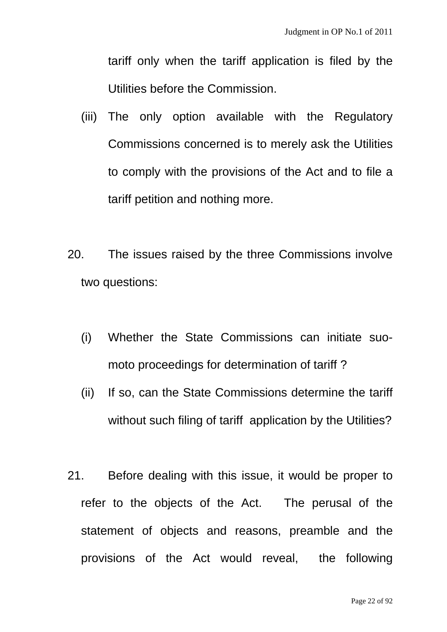tariff only when the tariff application is filed by the Utilities before the Commission.

- (iii) The only option available with the Regulatory Commissions concerned is to merely ask the Utilities to comply with the provisions of the Act and to file a tariff petition and nothing more.
- 20. The issues raised by the three Commissions involve two questions:
	- (i) Whether the State Commissions can initiate suomoto proceedings for determination of tariff ?
	- (ii) If so, can the State Commissions determine the tariff without such filing of tariff application by the Utilities?
- 21. Before dealing with this issue, it would be proper to refer to the objects of the Act. The perusal of the statement of objects and reasons, preamble and the provisions of the Act would reveal, the following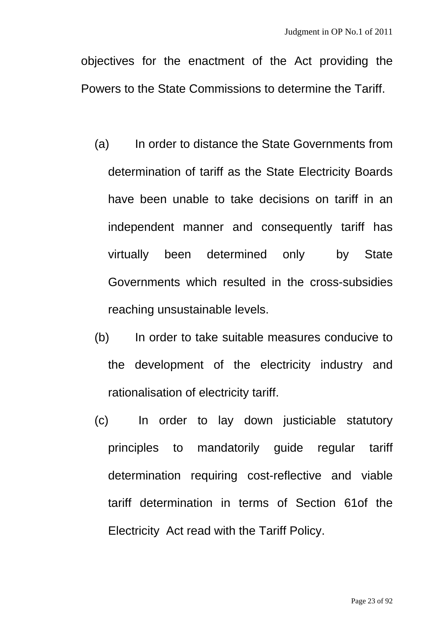objectives for the enactment of the Act providing the Powers to the State Commissions to determine the Tariff.

- (a) In order to distance the State Governments from determination of tariff as the State Electricity Boards have been unable to take decisions on tariff in an independent manner and consequently tariff has virtually been determined only by State Governments which resulted in the cross-subsidies reaching unsustainable levels.
- (b) In order to take suitable measures conducive to the development of the electricity industry and rationalisation of electricity tariff.
- (c) In order to lay down justiciable statutory principles to mandatorily guide regular tariff determination requiring cost-reflective and viable tariff determination in terms of Section 61of the Electricity Act read with the Tariff Policy.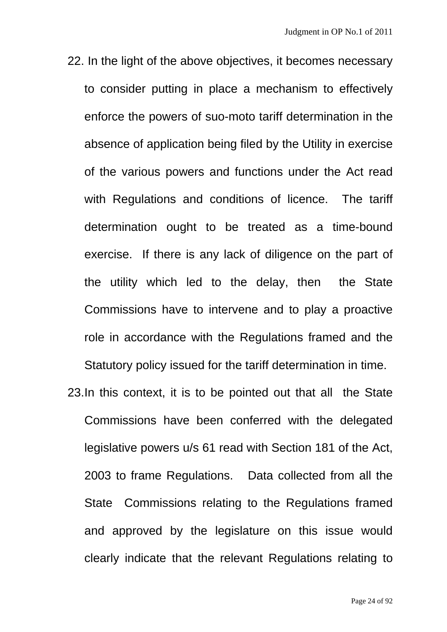- 22.In the light of the above objectives, it becomes necessary to consider putting in place a mechanism to effectively enforce the powers of suo-moto tariff determination in the absence of application being filed by the Utility in exercise of the various powers and functions under the Act read with Regulations and conditions of licence. The tariff determination ought to be treated as a time-bound exercise. If there is any lack of diligence on the part of the utility which led to the delay, then the State Commissions have to intervene and to play a proactive role in accordance with the Regulations framed and the Statutory policy issued for the tariff determination in time.
- 23. In this context, it is to be pointed out that all the State Commissions have been conferred with the delegated legislative powers u/s 61 read with Section 181 of the Act, 2003 to frame Regulations. Data collected from all the State Commissions relating to the Regulations framed and approved by the legislature on this issue would clearly indicate that the relevant Regulations relating to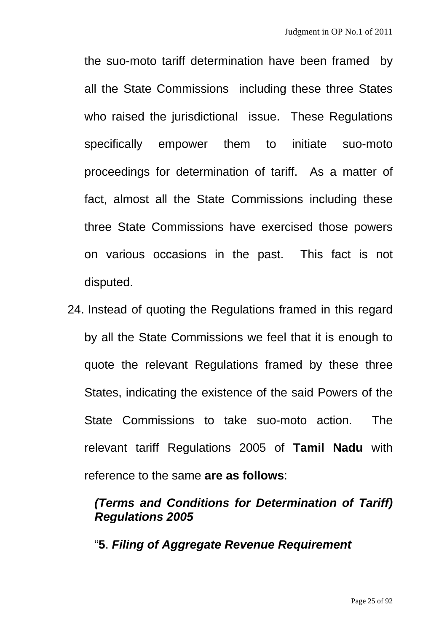the suo-moto tariff determination have been framed by all the State Commissions including these three States who raised the jurisdictional issue. These Regulations specifically empower them to initiate suo-moto proceedings for determination of tariff. As a matter of fact, almost all the State Commissions including these three State Commissions have exercised those powers on various occasions in the past. This fact is not disputed.

24.Instead of quoting the Regulations framed in this regard by all the State Commissions we feel that it is enough to quote the relevant Regulations framed by these three States, indicating the existence of the said Powers of the State Commissions to take suo-moto action. The relevant tariff Regulations 2005 of **Tamil Nadu** with reference to the same **are as follows**:

# *(Terms and Conditions for Determination of Tariff) Regulations 2005*

"**5**. *Filing of Aggregate Revenue Requirement*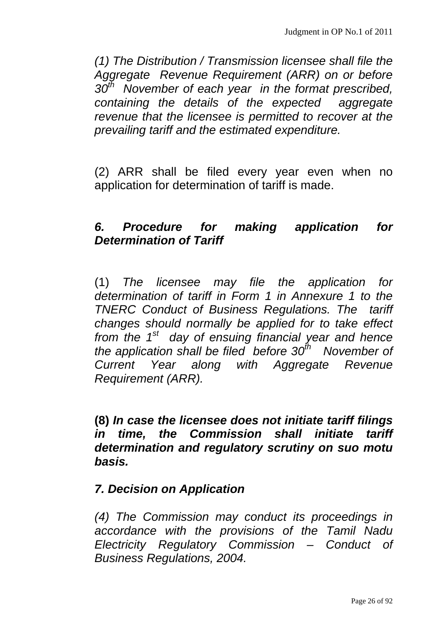*(1) The Distribution / Transmission licensee shall file the Aggregate Revenue Requirement (ARR) on or before 30th November of each year in the format prescribed, containing the details of the expected aggregate revenue that the licensee is permitted to recover at the prevailing tariff and the estimated expenditure.* 

(2) ARR shall be filed every year even when no application for determination of tariff is made.

# *6. Procedure for making application for Determination of Tariff*

(1) *The licensee may file the application for determination of tariff in Form 1 in Annexure 1 to the TNERC Conduct of Business Regulations. The tariff changes should normally be applied for to take effect from the 1st day of ensuing financial year and hence the application shall be filed before 30th November of Current Year along with Aggregate Revenue Requirement (ARR).* 

**(8)** *In case the licensee does not initiate tariff filings in time, the Commission shall initiate tariff determination and regulatory scrutiny on suo motu basis.* 

#### *7. Decision on Application*

*(4) The Commission may conduct its proceedings in accordance with the provisions of the Tamil Nadu Electricity Regulatory Commission – Conduct of Business Regulations, 2004.*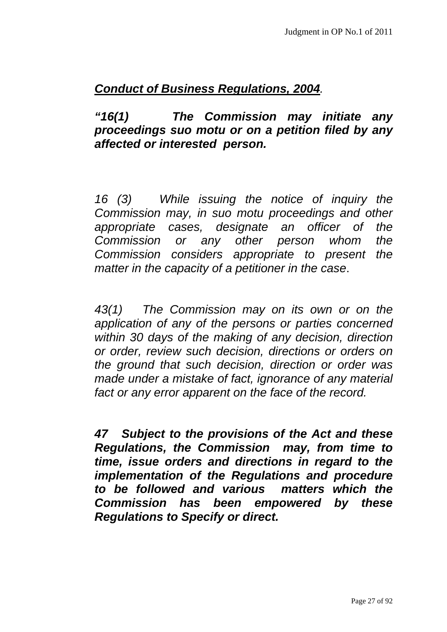# *Conduct of Business Regulations, 2004.*

*"16(1) The Commission may initiate any proceedings suo motu or on a petition filed by any affected or interested person.* 

*16 (3) While issuing the notice of inquiry the Commission may, in suo motu proceedings and other appropriate cases, designate an officer of the Commission or any other person whom the Commission considers appropriate to present the matter in the capacity of a petitioner in the case*.

*43(1) The Commission may on its own or on the application of any of the persons or parties concerned within 30 days of the making of any decision, direction or order, review such decision, directions or orders on the ground that such decision, direction or order was made under a mistake of fact, ignorance of any material fact or any error apparent on the face of the record.* 

*47 Subject to the provisions of the Act and these Regulations, the Commission may, from time to time, issue orders and directions in regard to the implementation of the Regulations and procedure to be followed and various matters which the Commission has been empowered by these Regulations to Specify or direct.*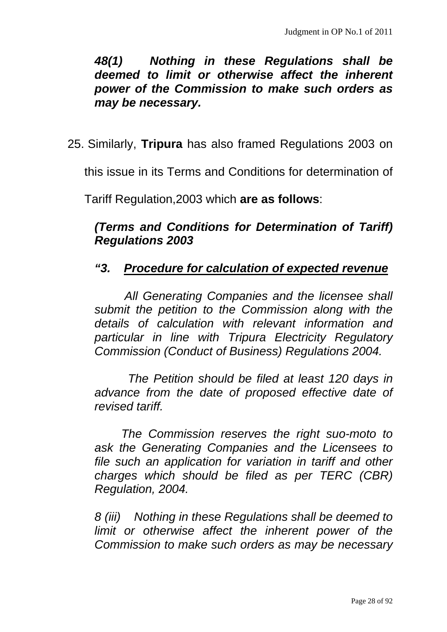*48(1) Nothing in these Regulations shall be deemed to limit or otherwise affect the inherent power of the Commission to make such orders as may be necessary.* 

25.Similarly, **Tripura** has also framed Regulations 2003 on

this issue in its Terms and Conditions for determination of

Tariff Regulation,2003 which **are as follows**:

# *(Terms and Conditions for Determination of Tariff) Regulations 2003*

#### *"3. Procedure for calculation of expected revenue*

 *All Generating Companies and the licensee shall submit the petition to the Commission along with the details of calculation with relevant information and particular in line with Tripura Electricity Regulatory Commission (Conduct of Business) Regulations 2004.* 

 *The Petition should be filed at least 120 days in advance from the date of proposed effective date of revised tariff.* 

 *The Commission reserves the right suo-moto to ask the Generating Companies and the Licensees to file such an application for variation in tariff and other charges which should be filed as per TERC (CBR) Regulation, 2004.* 

*8 (iii) Nothing in these Regulations shall be deemed to limit or otherwise affect the inherent power of the Commission to make such orders as may be necessary*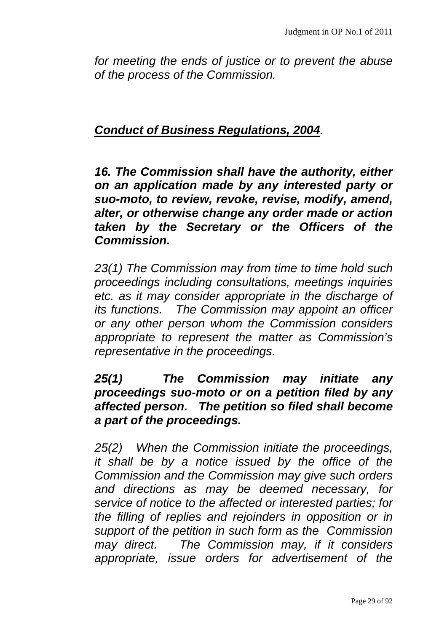*for meeting the ends of justice or to prevent the abuse of the process of the Commission.* 

#### *Conduct of Business Regulations, 2004.*

*16. The Commission shall have the authority, either on an application made by any interested party or suo-moto, to review, revoke, revise, modify, amend, alter, or otherwise change any order made or action taken by the Secretary or the Officers of the Commission.* 

*23(1) The Commission may from time to time hold such proceedings including consultations, meetings inquiries etc. as it may consider appropriate in the discharge of its functions. The Commission may appoint an officer or any other person whom the Commission considers appropriate to represent the matter as Commission's representative in the proceedings.* 

### *25(1) The Commission may initiate any proceedings suo-moto or on a petition filed by any affected person. The petition so filed shall become a part of the proceedings.*

*25(2) When the Commission initiate the proceedings, it shall be by a notice issued by the office of the Commission and the Commission may give such orders and directions as may be deemed necessary, for service of notice to the affected or interested parties; for the filling of replies and rejoinders in opposition or in support of the petition in such form as the Commission may direct. The Commission may, if it considers appropriate, issue orders for advertisement of the*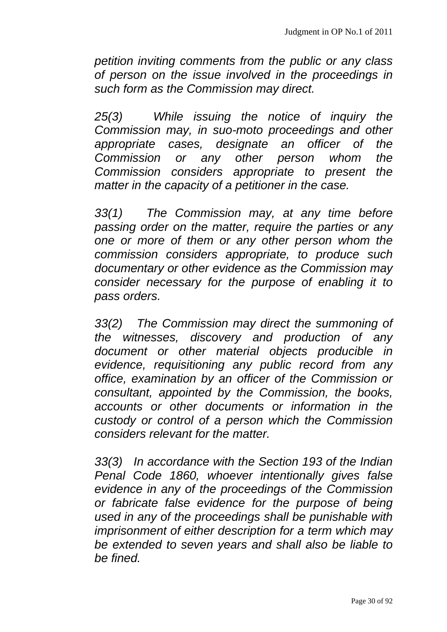*petition inviting comments from the public or any class of person on the issue involved in the proceedings in such form as the Commission may direct.* 

*25(3) While issuing the notice of inquiry the Commission may, in suo-moto proceedings and other appropriate cases, designate an officer of the Commission or any other person whom the Commission considers appropriate to present the matter in the capacity of a petitioner in the case.* 

*33(1) The Commission may, at any time before passing order on the matter, require the parties or any one or more of them or any other person whom the commission considers appropriate, to produce such documentary or other evidence as the Commission may consider necessary for the purpose of enabling it to pass orders.* 

*33(2) The Commission may direct the summoning of the witnesses, discovery and production of any document or other material objects producible in evidence, requisitioning any public record from any office, examination by an officer of the Commission or consultant, appointed by the Commission, the books, accounts or other documents or information in the custody or control of a person which the Commission considers relevant for the matter.* 

*33(3) In accordance with the Section 193 of the Indian Penal Code 1860, whoever intentionally gives false evidence in any of the proceedings of the Commission or fabricate false evidence for the purpose of being used in any of the proceedings shall be punishable with imprisonment of either description for a term which may be extended to seven years and shall also be liable to be fined.*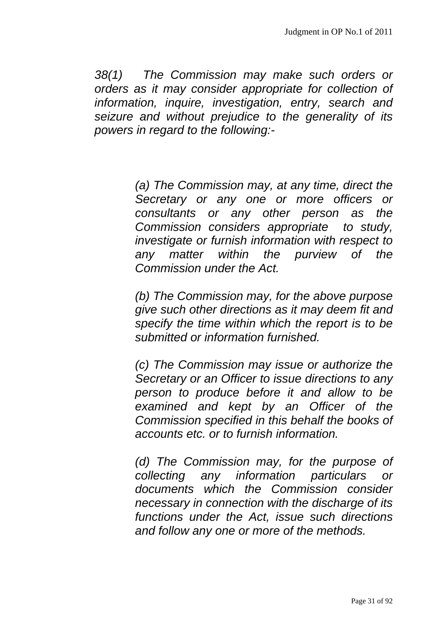*38(1) The Commission may make such orders or orders as it may consider appropriate for collection of information, inquire, investigation, entry, search and seizure and without prejudice to the generality of its powers in regard to the following:-* 

> *(a) The Commission may, at any time, direct the Secretary or any one or more officers or consultants or any other person as the Commission considers appropriate to study, investigate or furnish information with respect to any matter within the purview of the Commission under the Act.*

> *(b) The Commission may, for the above purpose give such other directions as it may deem fit and specify the time within which the report is to be submitted or information furnished.*

> *(c) The Commission may issue or authorize the Secretary or an Officer to issue directions to any person to produce before it and allow to be examined and kept by an Officer of the Commission specified in this behalf the books of accounts etc. or to furnish information.*

> *(d) The Commission may, for the purpose of collecting any information particulars or documents which the Commission consider necessary in connection with the discharge of its functions under the Act, issue such directions and follow any one or more of the methods.*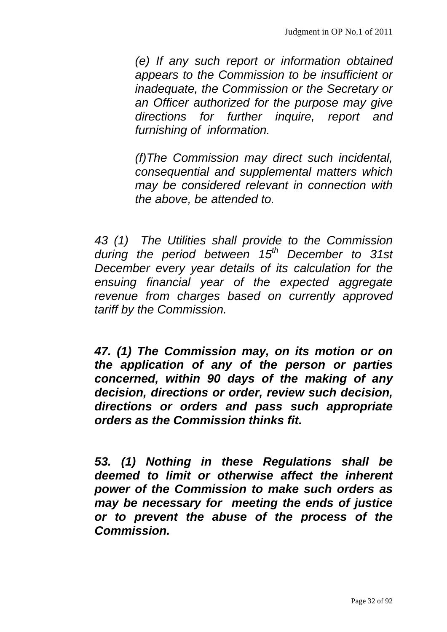*(e) If any such report or information obtained appears to the Commission to be insufficient or inadequate, the Commission or the Secretary or an Officer authorized for the purpose may give directions for further inquire, report and furnishing of information.* 

*(f)The Commission may direct such incidental, consequential and supplemental matters which may be considered relevant in connection with the above, be attended to.* 

*43 (1) The Utilities shall provide to the Commission*  during the period between 15<sup>th</sup> December to 31st *December every year details of its calculation for the ensuing financial year of the expected aggregate revenue from charges based on currently approved tariff by the Commission.* 

*47. (1) The Commission may, on its motion or on the application of any of the person or parties concerned, within 90 days of the making of any decision, directions or order, review such decision, directions or orders and pass such appropriate orders as the Commission thinks fit.* 

*53. (1) Nothing in these Regulations shall be deemed to limit or otherwise affect the inherent power of the Commission to make such orders as may be necessary for meeting the ends of justice or to prevent the abuse of the process of the Commission.*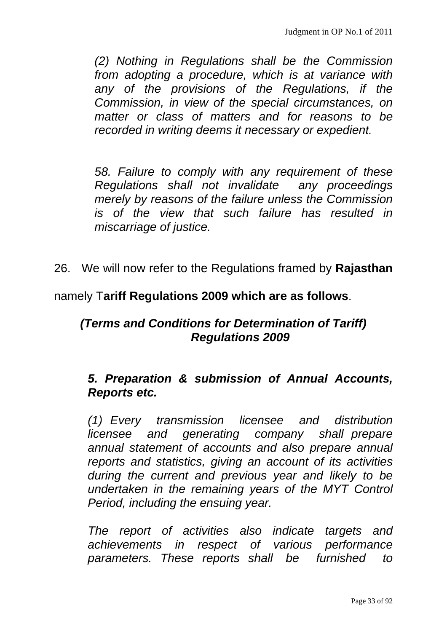*(2) Nothing in Regulations shall be the Commission from adopting a procedure, which is at variance with any of the provisions of the Regulations, if the Commission, in view of the special circumstances, on matter or class of matters and for reasons to be recorded in writing deems it necessary or expedient.* 

*58. Failure to comply with any requirement of these Regulations shall not invalidate any proceedings merely by reasons of the failure unless the Commission is of the view that such failure has resulted in miscarriage of justice.* 

26. We will now refer to the Regulations framed by **Rajasthan**

namely T**ariff Regulations 2009 which are as follows**.

# *(Terms and Conditions for Determination of Tariff) Regulations 2009*

#### *5. Preparation & submission of Annual Accounts, Reports etc.*

 *(1) Every transmission licensee and distribution licensee and generating company shall prepare annual statement of accounts and also prepare annual reports and statistics, giving an account of its activities during the current and previous year and likely to be undertaken in the remaining years of the MYT Control Period, including the ensuing year.* 

 *The report of activities also indicate targets and achievements in respect of various performance parameters. These reports shall be furnished to*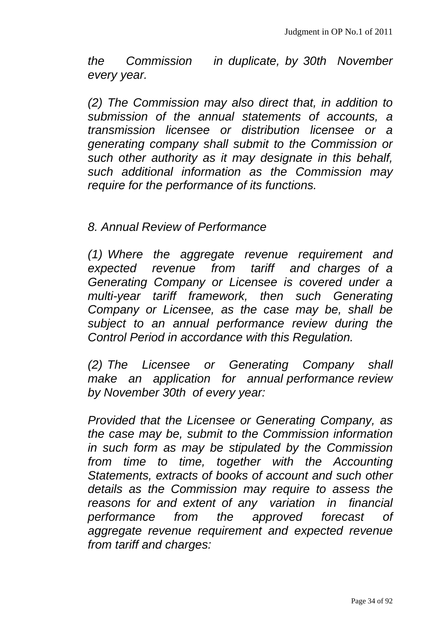*the Commission in duplicate, by 30th November every year.* 

 *(2) The Commission may also direct that, in addition to submission of the annual statements of accounts, a transmission licensee or distribution licensee or a generating company shall submit to the Commission or such other authority as it may designate in this behalf, such additional information as the Commission may require for the performance of its functions.* 

 *8. Annual Review of Performance* 

 *(1) Where the aggregate revenue requirement and expected revenue from tariff and charges of a Generating Company or Licensee is covered under a multi-year tariff framework, then such Generating Company or Licensee, as the case may be, shall be subject to an annual performance review during the Control Period in accordance with this Regulation.* 

 *(2) The Licensee or Generating Company shall make an application for annual performance review by November 30th of every year:* 

 *Provided that the Licensee or Generating Company, as the case may be, submit to the Commission information in such form as may be stipulated by the Commission from time to time, together with the Accounting Statements, extracts of books of account and such other details as the Commission may require to assess the reasons for and extent of any variation in financial performance from the approved forecast of aggregate revenue requirement and expected revenue from tariff and charges:*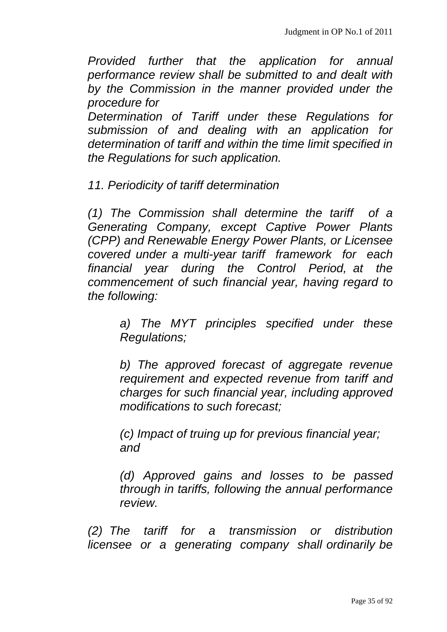*Provided further that the application for annual performance review shall be submitted to and dealt with by the Commission in the manner provided under the procedure for* 

 *Determination of Tariff under these Regulations for submission of and dealing with an application for determination of tariff and within the time limit specified in the Regulations for such application.* 

 *11. Periodicity of tariff determination* 

 *(1) The Commission shall determine the tariff of a Generating Company, except Captive Power Plants (CPP) and Renewable Energy Power Plants, or Licensee covered under a multi-year tariff framework for each financial year during the Control Period, at the commencement of such financial year, having regard to the following:* 

> *a) The MYT principles specified under these Regulations;*

> *b) The approved forecast of aggregate revenue requirement and expected revenue from tariff and charges for such financial year, including approved modifications to such forecast;*

 *(c) Impact of truing up for previous financial year; and* 

 *(d) Approved gains and losses to be passed through in tariffs, following the annual performance review.* 

 *(2) The tariff for a transmission or distribution licensee or a generating company shall ordinarily be*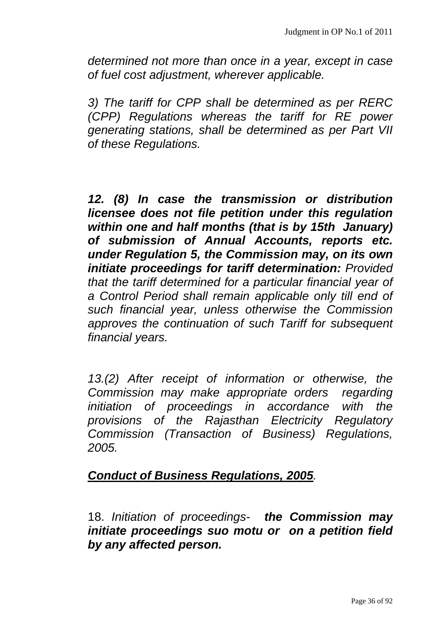*determined not more than once in a year, except in case of fuel cost adjustment, wherever applicable.* 

 *3) The tariff for CPP shall be determined as per RERC (CPP) Regulations whereas the tariff for RE power generating stations, shall be determined as per Part VII of these Regulations.* 

*12. (8) In case the transmission or distribution licensee does not file petition under this regulation within one and half months (that is by 15th January) of submission of Annual Accounts, reports etc. under Regulation 5, the Commission may, on its own initiate proceedings for tariff determination: Provided that the tariff determined for a particular financial year of a Control Period shall remain applicable only till end of such financial year, unless otherwise the Commission approves the continuation of such Tariff for subsequent financial years.* 

 *13.(2) After receipt of information or otherwise, the Commission may make appropriate orders regarding initiation of proceedings in accordance with the provisions of the Rajasthan Electricity Regulatory Commission (Transaction of Business) Regulations, 2005.* 

#### *Conduct of Business Regulations, 2005.*

18. *Initiation of proceedings- the Commission may initiate proceedings suo motu or on a petition field by any affected person.*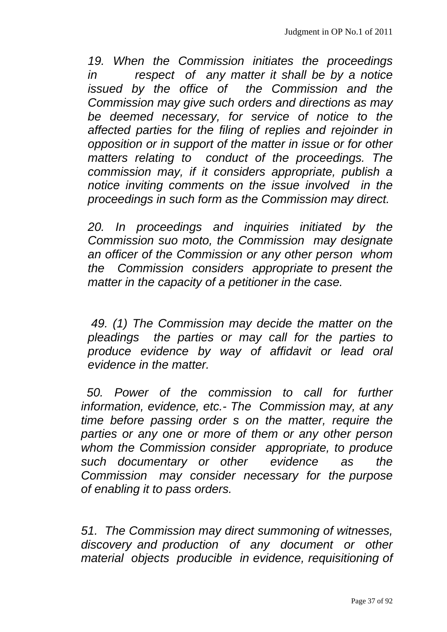*19. When the Commission initiates the proceedings in respect of any matter it shall be by a notice issued by the office of the Commission and the Commission may give such orders and directions as may be deemed necessary, for service of notice to the affected parties for the filing of replies and rejoinder in opposition or in support of the matter in issue or for other matters relating to conduct of the proceedings. The commission may, if it considers appropriate, publish a notice inviting comments on the issue involved in the proceedings in such form as the Commission may direct.* 

*20. In proceedings and inquiries initiated by the Commission suo moto, the Commission may designate an officer of the Commission or any other person whom the Commission considers appropriate to present the matter in the capacity of a petitioner in the case.* 

*49. (1) The Commission may decide the matter on the pleadings the parties or may call for the parties to produce evidence by way of affidavit or lead oral evidence in the matter.* 

*50. Power of the commission to call for further information, evidence, etc.- The Commission may, at any time before passing order s on the matter, require the parties or any one or more of them or any other person whom the Commission consider appropriate, to produce such documentary or other evidence as the Commission may consider necessary for the purpose of enabling it to pass orders.* 

*51. The Commission may direct summoning of witnesses, discovery and production of any document or other material objects producible in evidence, requisitioning of*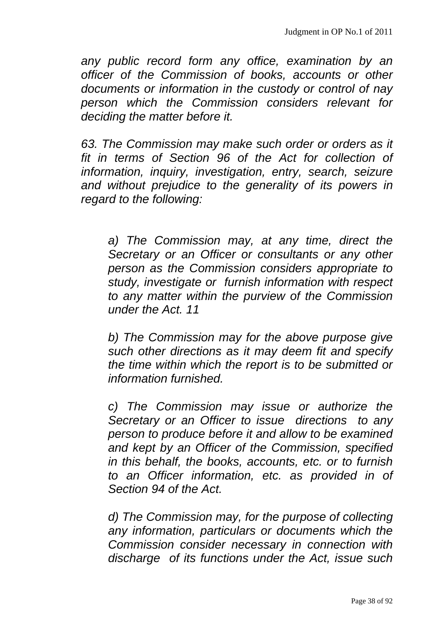*any public record form any office, examination by an officer of the Commission of books, accounts or other documents or information in the custody or control of nay person which the Commission considers relevant for deciding the matter before it.* 

*63. The Commission may make such order or orders as it fit in terms of Section 96 of the Act for collection of information, inquiry, investigation, entry, search, seizure and without prejudice to the generality of its powers in regard to the following:* 

*a) The Commission may, at any time, direct the Secretary or an Officer or consultants or any other person as the Commission considers appropriate to study, investigate or furnish information with respect to any matter within the purview of the Commission under the Act. 11* 

*b) The Commission may for the above purpose give such other directions as it may deem fit and specify the time within which the report is to be submitted or information furnished.* 

*c) The Commission may issue or authorize the Secretary or an Officer to issue directions to any person to produce before it and allow to be examined and kept by an Officer of the Commission, specified in this behalf, the books, accounts, etc. or to furnish to an Officer information, etc. as provided in of Section 94 of the Act.* 

*d) The Commission may, for the purpose of collecting any information, particulars or documents which the Commission consider necessary in connection with discharge of its functions under the Act, issue such*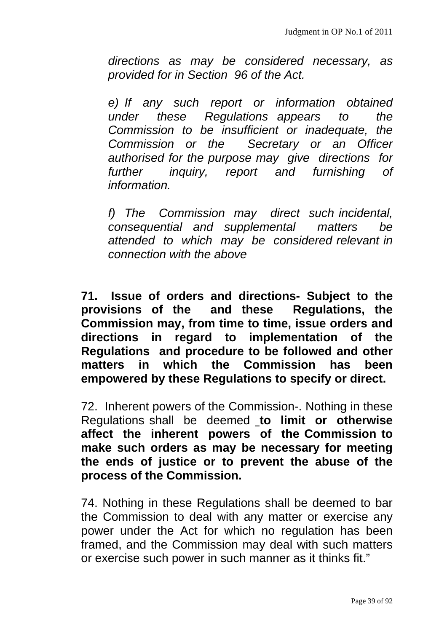*directions as may be considered necessary, as provided for in Section 96 of the Act.* 

*e) If any such report or information obtained under these Regulations appears to the Commission to be insufficient or inadequate, the Commission or the Secretary or an Officer authorised for the purpose may give directions for further inquiry, report and furnishing of information.* 

*f) The Commission may direct such incidental, consequential and supplemental matters be attended to which may be considered relevant in connection with the above* 

**71. Issue of orders and directions- Subject to the provisions of the and these Regulations, the Commission may, from time to time, issue orders and directions in regard to implementation of the Regulations and procedure to be followed and other matters in which the Commission has been empowered by these Regulations to specify or direct.** 

72. Inherent powers of the Commission-. Nothing in these Regulations shall be deemed **to limit or otherwise affect the inherent powers of the Commission to make such orders as may be necessary for meeting the ends of justice or to prevent the abuse of the process of the Commission.** 

74. Nothing in these Regulations shall be deemed to bar the Commission to deal with any matter or exercise any power under the Act for which no regulation has been framed, and the Commission may deal with such matters or exercise such power in such manner as it thinks fit."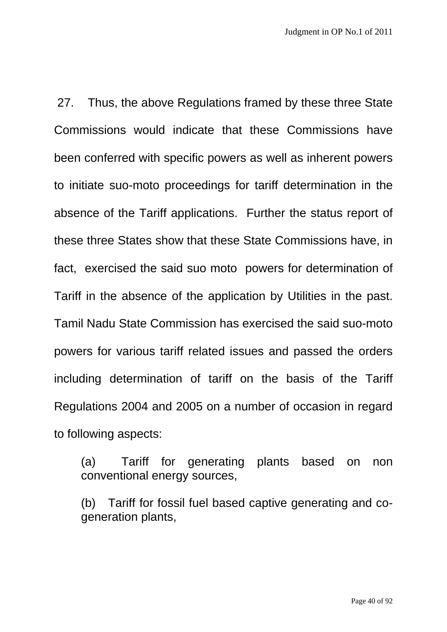27. Thus, the above Regulations framed by these three State Commissions would indicate that these Commissions have been conferred with specific powers as well as inherent powers to initiate suo-moto proceedings for tariff determination in the absence of the Tariff applications. Further the status report of these three States show that these State Commissions have, in fact, exercised the said suo moto powers for determination of Tariff in the absence of the application by Utilities in the past. Tamil Nadu State Commission has exercised the said suo-moto powers for various tariff related issues and passed the orders including determination of tariff on the basis of the Tariff Regulations 2004 and 2005 on a number of occasion in regard to following aspects:

(a) Tariff for generating plants based on non conventional energy sources,

(b) Tariff for fossil fuel based captive generating and cogeneration plants,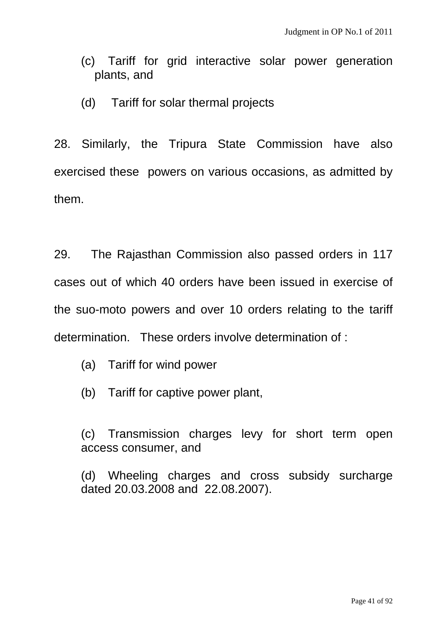- (c) Tariff for grid interactive solar power generation plants, and
- (d) Tariff for solar thermal projects

28. Similarly, the Tripura State Commission have also exercised these powers on various occasions, as admitted by them.

29. The Rajasthan Commission also passed orders in 117 cases out of which 40 orders have been issued in exercise of the suo-moto powers and over 10 orders relating to the tariff determination. These orders involve determination of :

- (a) Tariff for wind power
- (b) Tariff for captive power plant,

(c) Transmission charges levy for short term open access consumer, and

(d) Wheeling charges and cross subsidy surcharge dated 20.03.2008 and 22.08.2007).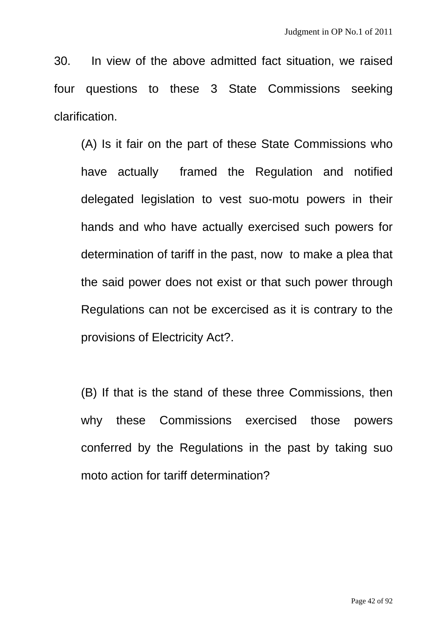30. In view of the above admitted fact situation, we raised four questions to these 3 State Commissions seeking clarification.

(A) Is it fair on the part of these State Commissions who have actually framed the Regulation and notified delegated legislation to vest suo-motu powers in their hands and who have actually exercised such powers for determination of tariff in the past, now to make a plea that the said power does not exist or that such power through Regulations can not be excercised as it is contrary to the provisions of Electricity Act?.

(B) If that is the stand of these three Commissions, then why these Commissions exercised those powers conferred by the Regulations in the past by taking suo moto action for tariff determination?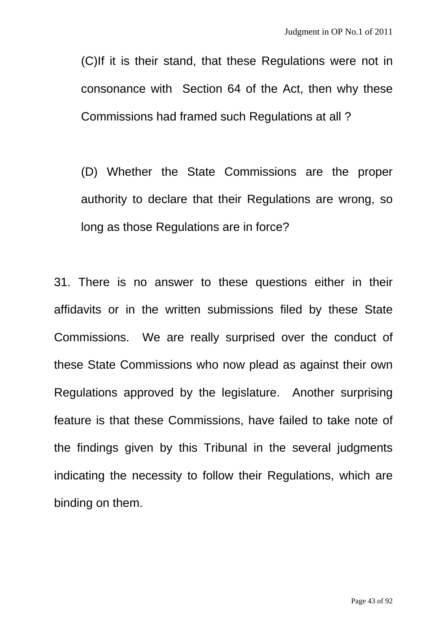(C)If it is their stand, that these Regulations were not in consonance with Section 64 of the Act, then why these Commissions had framed such Regulations at all ?

(D) Whether the State Commissions are the proper authority to declare that their Regulations are wrong, so long as those Regulations are in force?

31. There is no answer to these questions either in their affidavits or in the written submissions filed by these State Commissions. We are really surprised over the conduct of these State Commissions who now plead as against their own Regulations approved by the legislature. Another surprising feature is that these Commissions, have failed to take note of the findings given by this Tribunal in the several judgments indicating the necessity to follow their Regulations, which are binding on them.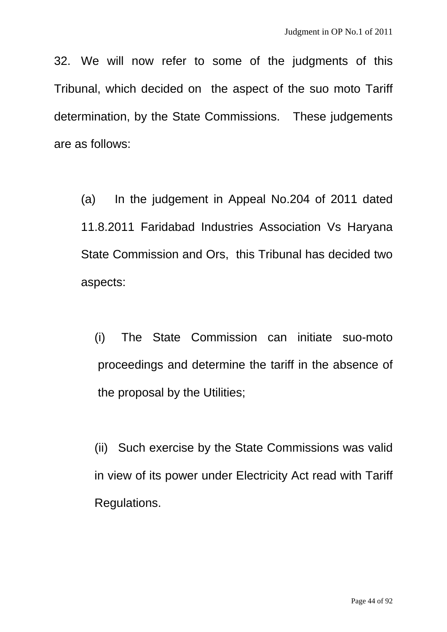32. We will now refer to some of the judgments of this Tribunal, which decided on the aspect of the suo moto Tariff determination, by the State Commissions. These judgements are as follows:

(a) In the judgement in Appeal No.204 of 2011 dated 11.8.2011 Faridabad Industries Association Vs Haryana State Commission and Ors, this Tribunal has decided two aspects:

(i) The State Commission can initiate suo-moto proceedings and determine the tariff in the absence of the proposal by the Utilities;

(ii) Such exercise by the State Commissions was valid in view of its power under Electricity Act read with Tariff Regulations.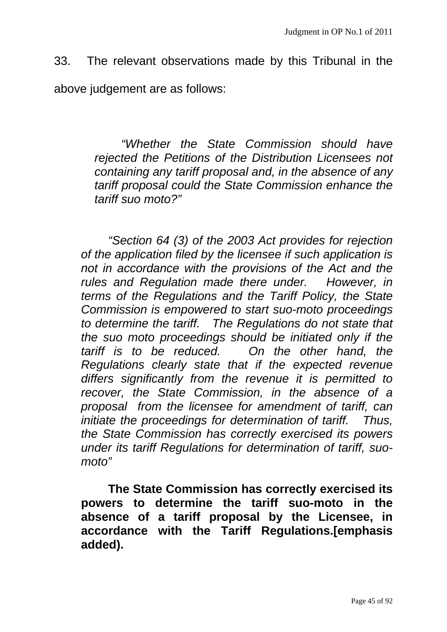33. The relevant observations made by this Tribunal in the above judgement are as follows:

> *"Whether the State Commission should have rejected the Petitions of the Distribution Licensees not containing any tariff proposal and, in the absence of any tariff proposal could the State Commission enhance the tariff suo moto?"*

*"Section 64 (3) of the 2003 Act provides for rejection of the application filed by the licensee if such application is not in accordance with the provisions of the Act and the rules and Regulation made there under. However, in terms of the Regulations and the Tariff Policy, the State Commission is empowered to start suo-moto proceedings to determine the tariff. The Regulations do not state that the suo moto proceedings should be initiated only if the tariff is to be reduced. On the other hand, the Regulations clearly state that if the expected revenue differs significantly from the revenue it is permitted to recover, the State Commission, in the absence of a proposal from the licensee for amendment of tariff, can initiate the proceedings for determination of tariff. Thus, the State Commission has correctly exercised its powers under its tariff Regulations for determination of tariff, suomoto"* 

**The State Commission has correctly exercised its powers to determine the tariff suo-moto in the absence of a tariff proposal by the Licensee, in accordance with the Tariff Regulations.[emphasis added).**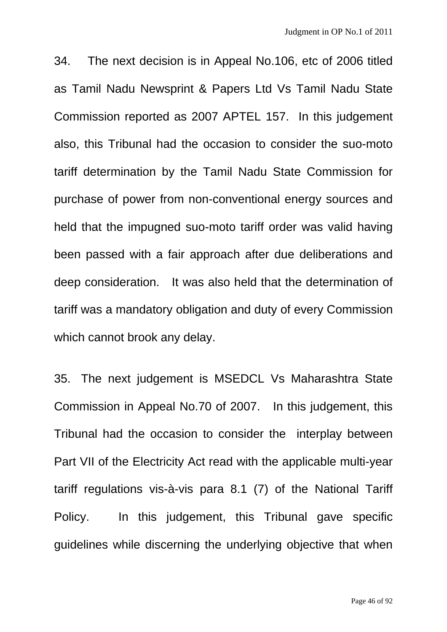34. The next decision is in Appeal No.106, etc of 2006 titled as Tamil Nadu Newsprint & Papers Ltd Vs Tamil Nadu State Commission reported as 2007 APTEL 157. In this judgement also, this Tribunal had the occasion to consider the suo-moto tariff determination by the Tamil Nadu State Commission for purchase of power from non-conventional energy sources and held that the impugned suo-moto tariff order was valid having been passed with a fair approach after due deliberations and deep consideration. It was also held that the determination of tariff was a mandatory obligation and duty of every Commission which cannot brook any delay.

35. The next judgement is MSEDCL Vs Maharashtra State Commission in Appeal No.70 of 2007. In this judgement, this Tribunal had the occasion to consider the interplay between Part VII of the Electricity Act read with the applicable multi-year tariff regulations vis-à-vis para 8.1 (7) of the National Tariff Policy. In this judgement, this Tribunal gave specific guidelines while discerning the underlying objective that when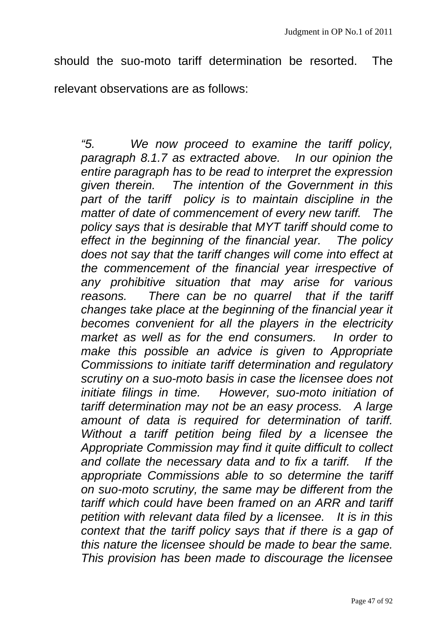should the suo-moto tariff determination be resorted. The relevant observations are as follows:

*"5. We now proceed to examine the tariff policy, paragraph 8.1.7 as extracted above. In our opinion the entire paragraph has to be read to interpret the expression given therein. The intention of the Government in this part of the tariff policy is to maintain discipline in the matter of date of commencement of every new tariff. The policy says that is desirable that MYT tariff should come to effect in the beginning of the financial year. The policy does not say that the tariff changes will come into effect at the commencement of the financial year irrespective of any prohibitive situation that may arise for various reasons. There can be no quarrel that if the tariff changes take place at the beginning of the financial year it becomes convenient for all the players in the electricity market as well as for the end consumers. In order to make this possible an advice is given to Appropriate Commissions to initiate tariff determination and regulatory scrutiny on a suo-moto basis in case the licensee does not initiate filings in time. However, suo-moto initiation of tariff determination may not be an easy process. A large amount of data is required for determination of tariff. Without a tariff petition being filed by a licensee the Appropriate Commission may find it quite difficult to collect and collate the necessary data and to fix a tariff. If the appropriate Commissions able to so determine the tariff on suo-moto scrutiny, the same may be different from the tariff which could have been framed on an ARR and tariff petition with relevant data filed by a licensee. It is in this context that the tariff policy says that if there is a gap of this nature the licensee should be made to bear the same. This provision has been made to discourage the licensee*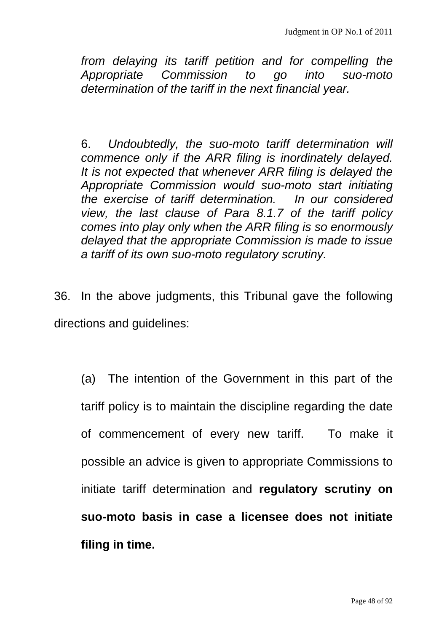*from delaying its tariff petition and for compelling the Appropriate Commission to go into suo-moto determination of the tariff in the next financial year.* 

6. *Undoubtedly, the suo-moto tariff determination will commence only if the ARR filing is inordinately delayed. It is not expected that whenever ARR filing is delayed the Appropriate Commission would suo-moto start initiating the exercise of tariff determination. In our considered view, the last clause of Para 8.1.7 of the tariff policy comes into play only when the ARR filing is so enormously delayed that the appropriate Commission is made to issue a tariff of its own suo-moto regulatory scrutiny.* 

36. In the above judgments, this Tribunal gave the following directions and guidelines:

(a) The intention of the Government in this part of the tariff policy is to maintain the discipline regarding the date of commencement of every new tariff. To make it possible an advice is given to appropriate Commissions to initiate tariff determination and **regulatory scrutiny on suo-moto basis in case a licensee does not initiate filing in time.**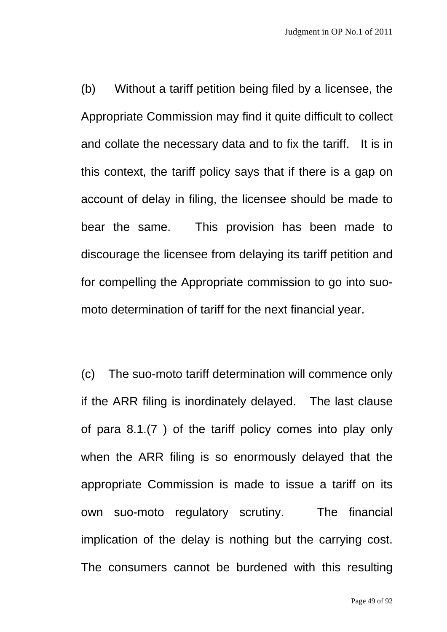(b) Without a tariff petition being filed by a licensee, the Appropriate Commission may find it quite difficult to collect and collate the necessary data and to fix the tariff. It is in this context, the tariff policy says that if there is a gap on account of delay in filing, the licensee should be made to bear the same. This provision has been made to discourage the licensee from delaying its tariff petition and for compelling the Appropriate commission to go into suomoto determination of tariff for the next financial year.

(c) The suo-moto tariff determination will commence only if the ARR filing is inordinately delayed. The last clause of para 8.1.(7 ) of the tariff policy comes into play only when the ARR filing is so enormously delayed that the appropriate Commission is made to issue a tariff on its own suo-moto regulatory scrutiny. The financial implication of the delay is nothing but the carrying cost. The consumers cannot be burdened with this resulting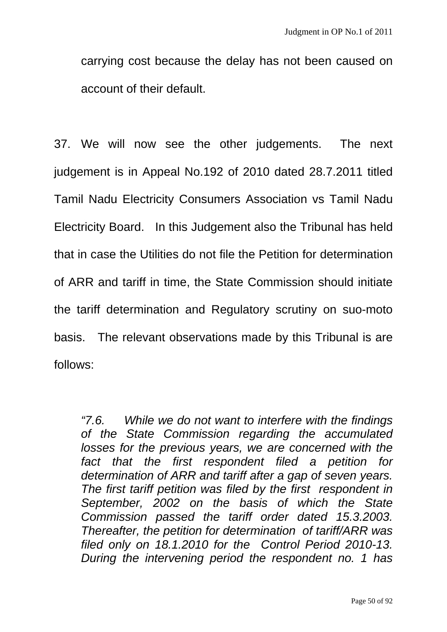carrying cost because the delay has not been caused on account of their default.

37. We will now see the other judgements. The next judgement is in Appeal No.192 of 2010 dated 28.7.2011 titled Tamil Nadu Electricity Consumers Association vs Tamil Nadu Electricity Board. In this Judgement also the Tribunal has held that in case the Utilities do not file the Petition for determination of ARR and tariff in time, the State Commission should initiate the tariff determination and Regulatory scrutiny on suo-moto basis. The relevant observations made by this Tribunal is are follows:

*"7.6. While we do not want to interfere with the findings of the State Commission regarding the accumulated losses for the previous years, we are concerned with the fact that the first respondent filed a petition for determination of ARR and tariff after a gap of seven years. The first tariff petition was filed by the first respondent in September, 2002 on the basis of which the State Commission passed the tariff order dated 15.3.2003. Thereafter, the petition for determination of tariff/ARR was filed only on 18.1.2010 for the Control Period 2010-13. During the intervening period the respondent no. 1 has*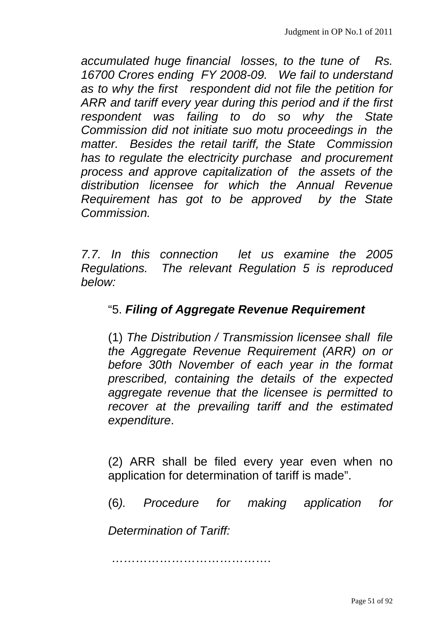*accumulated huge financial losses, to the tune of Rs. 16700 Crores ending FY 2008-09. We fail to understand as to why the first respondent did not file the petition for ARR and tariff every year during this period and if the first respondent was failing to do so why the State Commission did not initiate suo motu proceedings in the matter. Besides the retail tariff, the State Commission has to regulate the electricity purchase and procurement process and approve capitalization of the assets of the distribution licensee for which the Annual Revenue Requirement has got to be approved by the State Commission.* 

*7.7. In this connection let us examine the 2005 Regulations. The relevant Regulation 5 is reproduced below:* 

## "5. *Filing of Aggregate Revenue Requirement*

(1) *The Distribution / Transmission licensee shall file the Aggregate Revenue Requirement (ARR) on or before 30th November of each year in the format prescribed, containing the details of the expected aggregate revenue that the licensee is permitted to recover at the prevailing tariff and the estimated expenditure*.

(2) ARR shall be filed every year even when no application for determination of tariff is made".

(6*). Procedure for making application for* 

*Determination of Tariff:*

………………………………….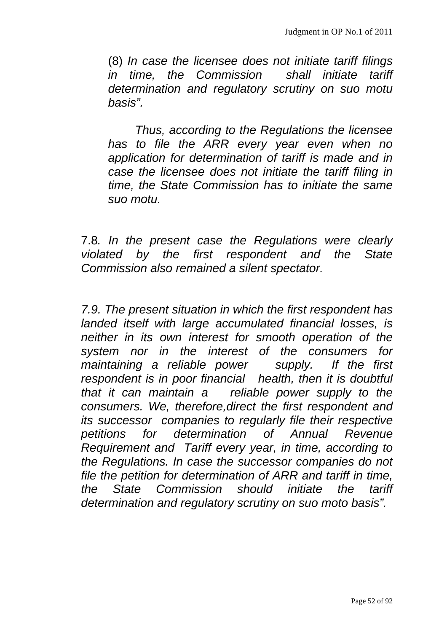(8) *In case the licensee does not initiate tariff filings in time, the Commission shall initiate tariff determination and regulatory scrutiny on suo motu basis".* 

*Thus, according to the Regulations the licensee has to file the ARR every year even when no application for determination of tariff is made and in case the licensee does not initiate the tariff filing in time, the State Commission has to initiate the same suo motu.*

7.8*. In the present case the Regulations were clearly violated by the first respondent and the State Commission also remained a silent spectator.*

*7.9. The present situation in which the first respondent has landed itself with large accumulated financial losses, is neither in its own interest for smooth operation of the system nor in the interest of the consumers for maintaining a reliable power supply. If the first respondent is in poor financial health, then it is doubtful that it can maintain a reliable power supply to the consumers. We, therefore,direct the first respondent and its successor companies to regularly file their respective petitions for determination of Annual Revenue Requirement and Tariff every year, in time, according to the Regulations. In case the successor companies do not file the petition for determination of ARR and tariff in time, the State Commission should initiate the tariff determination and regulatory scrutiny on suo moto basis".*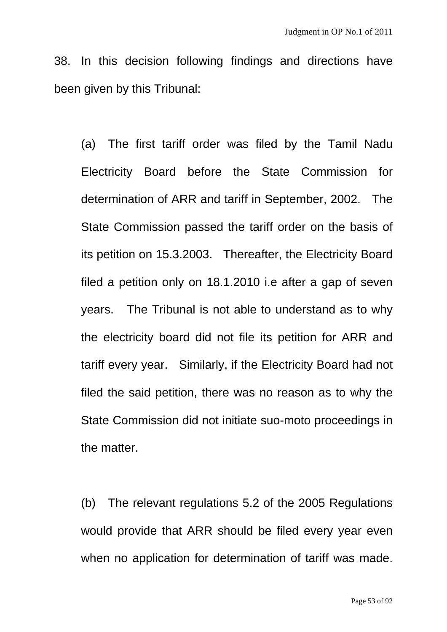38. In this decision following findings and directions have been given by this Tribunal:

(a) The first tariff order was filed by the Tamil Nadu Electricity Board before the State Commission for determination of ARR and tariff in September, 2002. The State Commission passed the tariff order on the basis of its petition on 15.3.2003. Thereafter, the Electricity Board filed a petition only on 18.1.2010 i.e after a gap of seven years. The Tribunal is not able to understand as to why the electricity board did not file its petition for ARR and tariff every year. Similarly, if the Electricity Board had not filed the said petition, there was no reason as to why the State Commission did not initiate suo-moto proceedings in the matter.

(b) The relevant regulations 5.2 of the 2005 Regulations would provide that ARR should be filed every year even when no application for determination of tariff was made.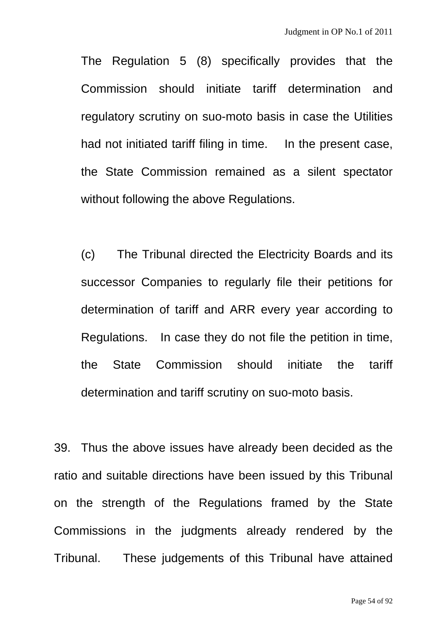The Regulation 5 (8) specifically provides that the Commission should initiate tariff determination and regulatory scrutiny on suo-moto basis in case the Utilities had not initiated tariff filing in time. In the present case, the State Commission remained as a silent spectator without following the above Regulations.

(c) The Tribunal directed the Electricity Boards and its successor Companies to regularly file their petitions for determination of tariff and ARR every year according to Regulations. In case they do not file the petition in time, the State Commission should initiate the tariff determination and tariff scrutiny on suo-moto basis.

39. Thus the above issues have already been decided as the ratio and suitable directions have been issued by this Tribunal on the strength of the Regulations framed by the State Commissions in the judgments already rendered by the Tribunal. These judgements of this Tribunal have attained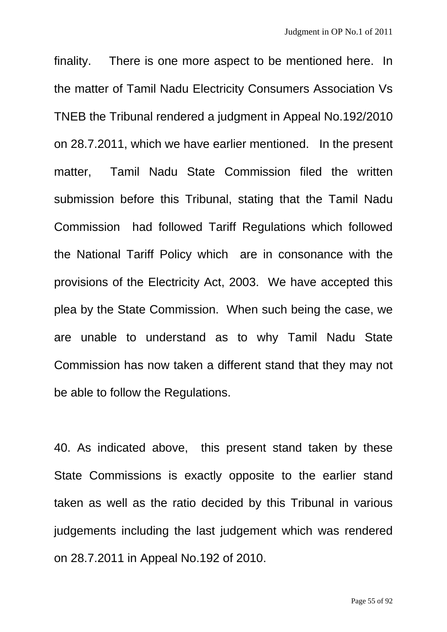finality. There is one more aspect to be mentioned here. In the matter of Tamil Nadu Electricity Consumers Association Vs TNEB the Tribunal rendered a judgment in Appeal No.192/2010 on 28.7.2011, which we have earlier mentioned. In the present matter, Tamil Nadu State Commission filed the written submission before this Tribunal, stating that the Tamil Nadu Commission had followed Tariff Regulations which followed the National Tariff Policy which are in consonance with the provisions of the Electricity Act, 2003. We have accepted this plea by the State Commission. When such being the case, we are unable to understand as to why Tamil Nadu State Commission has now taken a different stand that they may not be able to follow the Regulations.

40. As indicated above, this present stand taken by these State Commissions is exactly opposite to the earlier stand taken as well as the ratio decided by this Tribunal in various judgements including the last judgement which was rendered on 28.7.2011 in Appeal No.192 of 2010.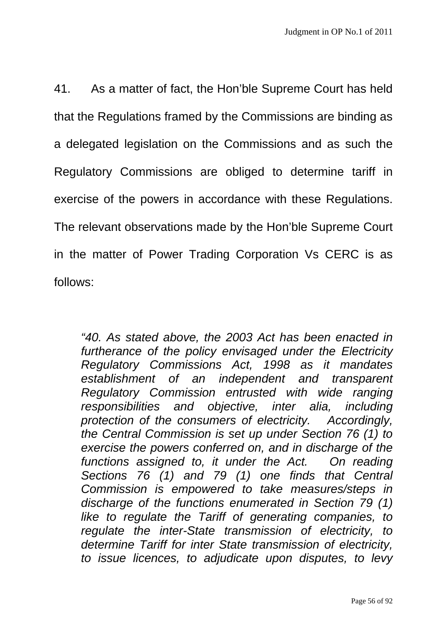41. As a matter of fact, the Hon'ble Supreme Court has held that the Regulations framed by the Commissions are binding as a delegated legislation on the Commissions and as such the Regulatory Commissions are obliged to determine tariff in exercise of the powers in accordance with these Regulations. The relevant observations made by the Hon'ble Supreme Court in the matter of Power Trading Corporation Vs CERC is as follows:

*"40. As stated above, the 2003 Act has been enacted in furtherance of the policy envisaged under the Electricity Regulatory Commissions Act, 1998 as it mandates establishment of an independent and transparent Regulatory Commission entrusted with wide ranging responsibilities and objective, inter alia, including protection of the consumers of electricity. Accordingly, the Central Commission is set up under Section 76 (1) to exercise the powers conferred on, and in discharge of the functions assigned to, it under the Act. On reading Sections 76 (1) and 79 (1) one finds that Central Commission is empowered to take measures/steps in discharge of the functions enumerated in Section 79 (1) like to regulate the Tariff of generating companies, to regulate the inter-State transmission of electricity, to determine Tariff for inter State transmission of electricity, to issue licences, to adjudicate upon disputes, to levy*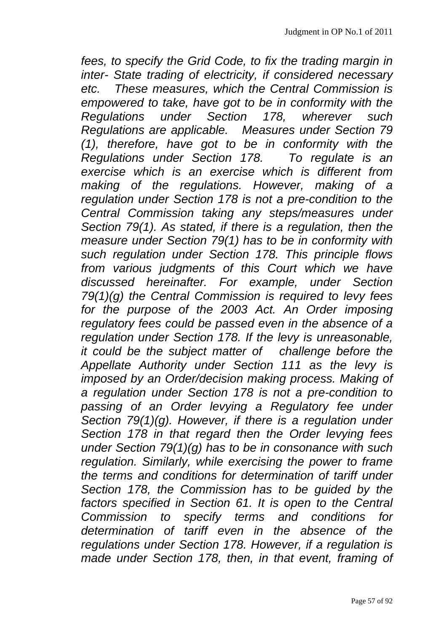*fees, to specify the Grid Code, to fix the trading margin in inter- State trading of electricity, if considered necessary etc. These measures, which the Central Commission is empowered to take, have got to be in conformity with the Regulations under Section 178, wherever such Regulations are applicable. Measures under Section 79 (1), therefore, have got to be in conformity with the Regulations under Section 178. To regulate is an exercise which is an exercise which is different from making of the regulations. However, making of a regulation under Section 178 is not a pre-condition to the Central Commission taking any steps/measures under Section 79(1). As stated, if there is a regulation, then the measure under Section 79(1) has to be in conformity with such regulation under Section 178. This principle flows from various judgments of this Court which we have discussed hereinafter. For example, under Section 79(1)(g) the Central Commission is required to levy fees for the purpose of the 2003 Act. An Order imposing regulatory fees could be passed even in the absence of a regulation under Section 178. If the levy is unreasonable, it could be the subject matter of challenge before the Appellate Authority under Section 111 as the levy is imposed by an Order/decision making process. Making of a regulation under Section 178 is not a pre-condition to*  passing of an Order levying a Regulatory fee under *Section 79(1)(g). However, if there is a regulation under Section 178 in that regard then the Order levying fees under Section 79(1)(g) has to be in consonance with such regulation. Similarly, while exercising the power to frame the terms and conditions for determination of tariff under Section 178, the Commission has to be guided by the*  factors specified in Section 61. It is open to the Central *Commission to specify terms and conditions for determination of tariff even in the absence of the regulations under Section 178. However, if a regulation is made under Section 178, then, in that event, framing of*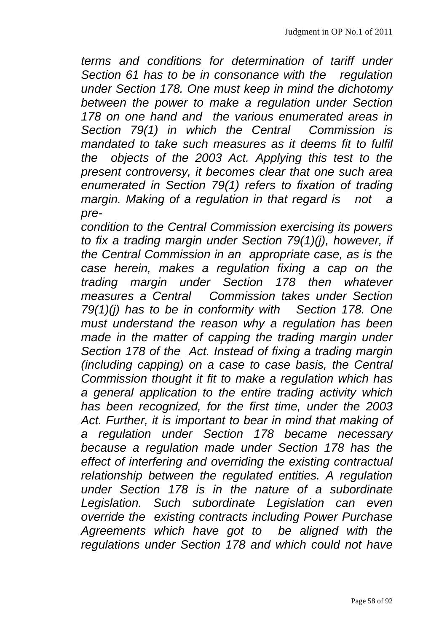*terms and conditions for determination of tariff under Section 61 has to be in consonance with the regulation under Section 178. One must keep in mind the dichotomy between the power to make a regulation under Section 178 on one hand and the various enumerated areas in Section 79(1) in which the Central Commission is mandated to take such measures as it deems fit to fulfil the objects of the 2003 Act. Applying this test to the present controversy, it becomes clear that one such area enumerated in Section 79(1) refers to fixation of trading margin. Making of a regulation in that regard is not a pre-*

*condition to the Central Commission exercising its powers to fix a trading margin under Section 79(1)(j), however, if the Central Commission in an appropriate case, as is the case herein, makes a regulation fixing a cap on the trading margin under Section 178 then whatever measures a Central Commission takes under Section 79(1)(j) has to be in conformity with Section 178. One must understand the reason why a regulation has been made in the matter of capping the trading margin under Section 178 of the Act. Instead of fixing a trading margin (including capping) on a case to case basis, the Central Commission thought it fit to make a regulation which has a general application to the entire trading activity which has been recognized, for the first time, under the 2003 Act. Further, it is important to bear in mind that making of a regulation under Section 178 became necessary because a regulation made under Section 178 has the effect of interfering and overriding the existing contractual relationship between the regulated entities. A regulation under Section 178 is in the nature of a subordinate Legislation. Such subordinate Legislation can even override the existing contracts including Power Purchase Agreements which have got to be aligned with the regulations under Section 178 and which could not have*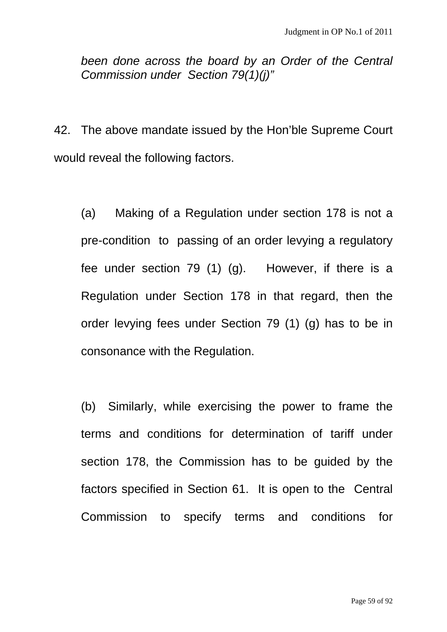*been done across the board by an Order of the Central Commission under Section 79(1)(j)"* 

42. The above mandate issued by the Hon'ble Supreme Court would reveal the following factors.

(a) Making of a Regulation under section 178 is not a pre-condition to passing of an order levying a regulatory fee under section 79 (1) (g). However, if there is a Regulation under Section 178 in that regard, then the order levying fees under Section 79 (1) (g) has to be in consonance with the Regulation.

(b) Similarly, while exercising the power to frame the terms and conditions for determination of tariff under section 178, the Commission has to be guided by the factors specified in Section 61. It is open to the Central Commission to specify terms and conditions for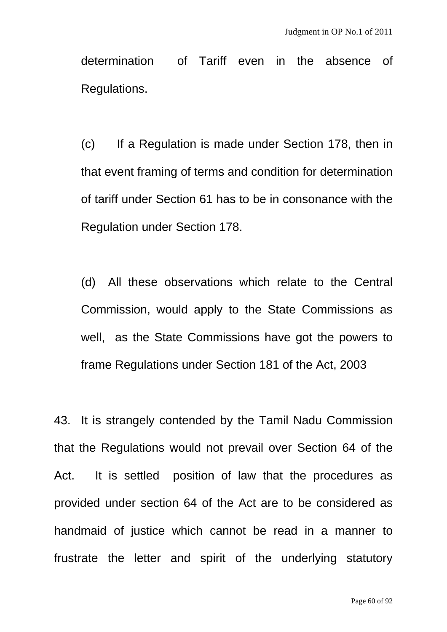determination of Tariff even in the absence of Regulations.

(c) If a Regulation is made under Section 178, then in that event framing of terms and condition for determination of tariff under Section 61 has to be in consonance with the Regulation under Section 178.

(d) All these observations which relate to the Central Commission, would apply to the State Commissions as well, as the State Commissions have got the powers to frame Regulations under Section 181 of the Act, 2003

43. It is strangely contended by the Tamil Nadu Commission that the Regulations would not prevail over Section 64 of the Act. It is settled position of law that the procedures as provided under section 64 of the Act are to be considered as handmaid of justice which cannot be read in a manner to frustrate the letter and spirit of the underlying statutory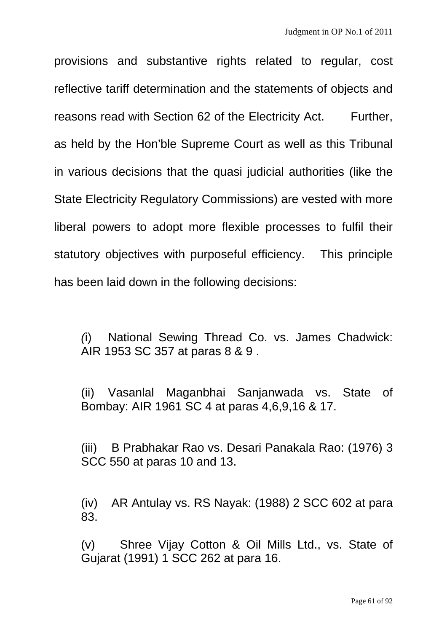provisions and substantive rights related to regular, cost reflective tariff determination and the statements of objects and reasons read with Section 62 of the Electricity Act. Further, as held by the Hon'ble Supreme Court as well as this Tribunal in various decisions that the quasi judicial authorities (like the State Electricity Regulatory Commissions) are vested with more liberal powers to adopt more flexible processes to fulfil their statutory objectives with purposeful efficiency. This principle has been laid down in the following decisions:

*(*i) National Sewing Thread Co. vs. James Chadwick: AIR 1953 SC 357 at paras 8 & 9 .

(ii) Vasanlal Maganbhai Sanjanwada vs. State of Bombay: AIR 1961 SC 4 at paras 4,6,9,16 & 17.

(iii) B Prabhakar Rao vs. Desari Panakala Rao: (1976) 3 SCC 550 at paras 10 and 13.

(iv) AR Antulay vs. RS Nayak: (1988) 2 SCC 602 at para 83.

(v) Shree Vijay Cotton & Oil Mills Ltd., vs. State of Gujarat (1991) 1 SCC 262 at para 16.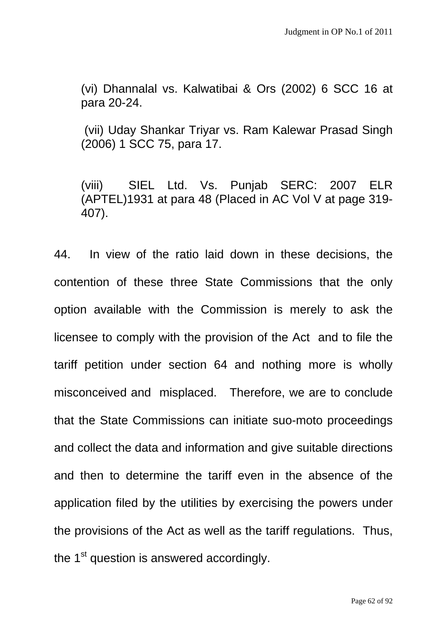(vi) Dhannalal vs. Kalwatibai & Ors (2002) 6 SCC 16 at para 20-24.

 (vii) Uday Shankar Triyar vs. Ram Kalewar Prasad Singh (2006) 1 SCC 75, para 17.

(viii) SIEL Ltd. Vs. Punjab SERC: 2007 ELR (APTEL)1931 at para 48 (Placed in AC Vol V at page 319- 407).

44. In view of the ratio laid down in these decisions, the contention of these three State Commissions that the only option available with the Commission is merely to ask the licensee to comply with the provision of the Act and to file the tariff petition under section 64 and nothing more is wholly misconceived and misplaced. Therefore, we are to conclude that the State Commissions can initiate suo-moto proceedings and collect the data and information and give suitable directions and then to determine the tariff even in the absence of the application filed by the utilities by exercising the powers under the provisions of the Act as well as the tariff regulations. Thus, the  $1<sup>st</sup>$  question is answered accordingly.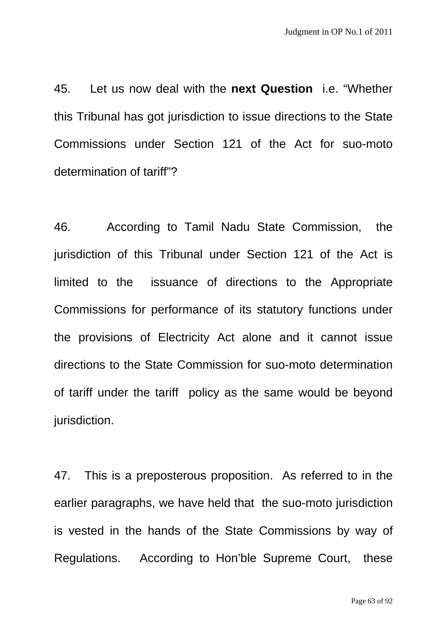45. Let us now deal with the **next Question** i.e. "Whether this Tribunal has got jurisdiction to issue directions to the State Commissions under Section 121 of the Act for suo-moto determination of tariff"?

46. According to Tamil Nadu State Commission, the jurisdiction of this Tribunal under Section 121 of the Act is limited to the issuance of directions to the Appropriate Commissions for performance of its statutory functions under the provisions of Electricity Act alone and it cannot issue directions to the State Commission for suo-moto determination of tariff under the tariff policy as the same would be beyond jurisdiction.

47. This is a preposterous proposition. As referred to in the earlier paragraphs, we have held that the suo-moto jurisdiction is vested in the hands of the State Commissions by way of Regulations. According to Hon'ble Supreme Court, these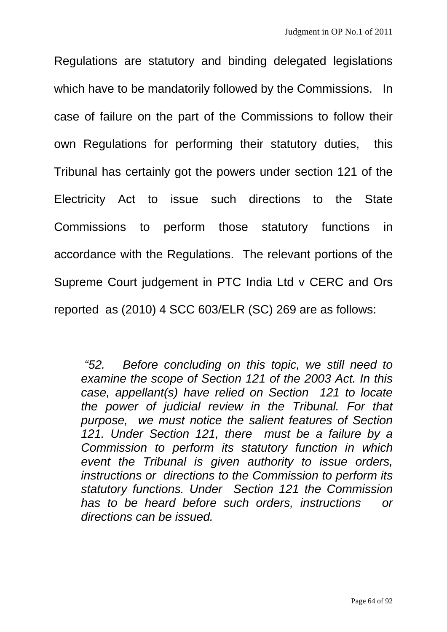Regulations are statutory and binding delegated legislations which have to be mandatorily followed by the Commissions. In case of failure on the part of the Commissions to follow their own Regulations for performing their statutory duties, this Tribunal has certainly got the powers under section 121 of the Electricity Act to issue such directions to the State Commissions to perform those statutory functions in accordance with the Regulations. The relevant portions of the Supreme Court judgement in PTC India Ltd v CERC and Ors reported as (2010) 4 SCC 603/ELR (SC) 269 are as follows:

 *"52. Before concluding on this topic, we still need to examine the scope of Section 121 of the 2003 Act. In this case, appellant(s) have relied on Section 121 to locate the power of judicial review in the Tribunal. For that purpose, we must notice the salient features of Section 121. Under Section 121, there must be a failure by a Commission to perform its statutory function in which event the Tribunal is given authority to issue orders, instructions or directions to the Commission to perform its statutory functions. Under Section 121 the Commission has to be heard before such orders, instructions or directions can be issued.*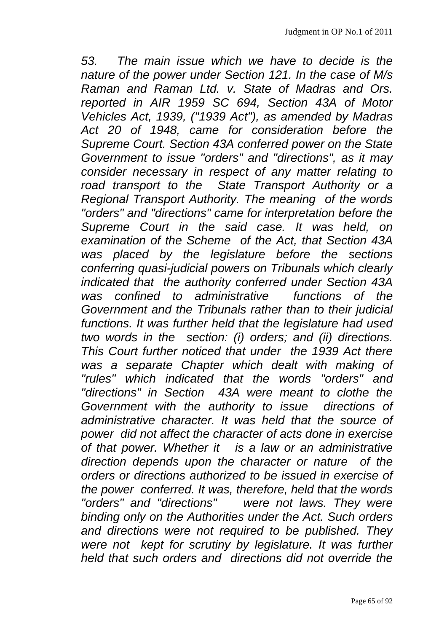*53. The main issue which we have to decide is the nature of the power under Section 121. In the case of M/s Raman and Raman Ltd. v. State of Madras and Ors. reported in AIR 1959 SC 694, Section 43A of Motor Vehicles Act, 1939, ("1939 Act"), as amended by Madras Act 20 of 1948, came for consideration before the Supreme Court. Section 43A conferred power on the State Government to issue "orders" and "directions", as it may consider necessary in respect of any matter relating to road transport to the State Transport Authority or a Regional Transport Authority. The meaning of the words "orders" and "directions" came for interpretation before the Supreme Court in the said case. It was held, on examination of the Scheme of the Act, that Section 43A was placed by the legislature before the sections conferring quasi-judicial powers on Tribunals which clearly indicated that the authority conferred under Section 43A was confined to administrative functions of the Government and the Tribunals rather than to their judicial functions. It was further held that the legislature had used two words in the section: (i) orders; and (ii) directions. This Court further noticed that under the 1939 Act there was a separate Chapter which dealt with making of "rules" which indicated that the words "orders" and "directions" in Section 43A were meant to clothe the Government with the authority to issue directions of administrative character. It was held that the source of power did not affect the character of acts done in exercise of that power. Whether it is a law or an administrative direction depends upon the character or nature of the orders or directions authorized to be issued in exercise of the power conferred. It was, therefore, held that the words "orders" and "directions" were not laws. They were binding only on the Authorities under the Act. Such orders and directions were not required to be published. They*  were not kept for scrutiny by legislature. It was further *held that such orders and directions did not override the*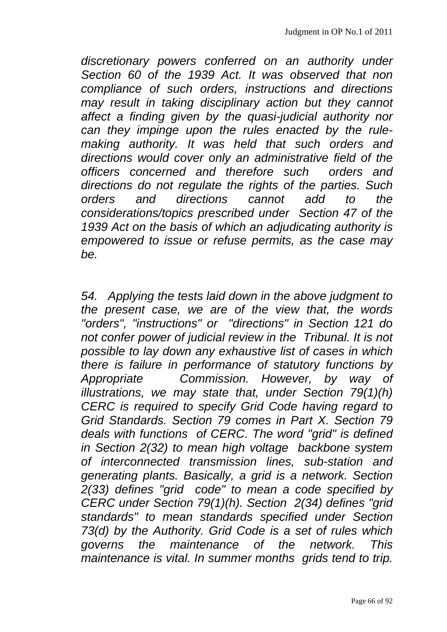*discretionary powers conferred on an authority under Section 60 of the 1939 Act. It was observed that non compliance of such orders, instructions and directions may result in taking disciplinary action but they cannot affect a finding given by the quasi-judicial authority nor can they impinge upon the rules enacted by the rulemaking authority. It was held that such orders and directions would cover only an administrative field of the officers concerned and therefore such orders and directions do not regulate the rights of the parties. Such orders and directions cannot add to the considerations/topics prescribed under Section 47 of the 1939 Act on the basis of which an adjudicating authority is empowered to issue or refuse permits, as the case may be.* 

*54. Applying the tests laid down in the above judgment to the present case, we are of the view that, the words "orders", "instructions" or "directions" in Section 121 do not confer power of judicial review in the Tribunal. It is not possible to lay down any exhaustive list of cases in which there is failure in performance of statutory functions by Appropriate Commission. However, by way of illustrations, we may state that, under Section 79(1)(h) CERC is required to specify Grid Code having regard to Grid Standards. Section 79 comes in Part X. Section 79 deals with functions of CERC. The word "grid" is defined in Section 2(32) to mean high voltage backbone system of interconnected transmission lines, sub-station and generating plants. Basically, a grid is a network. Section 2(33) defines "grid code" to mean a code specified by CERC under Section 79(1)(h). Section 2(34) defines "grid standards" to mean standards specified under Section 73(d) by the Authority. Grid Code is a set of rules which governs the maintenance of the network. This maintenance is vital. In summer months grids tend to trip.*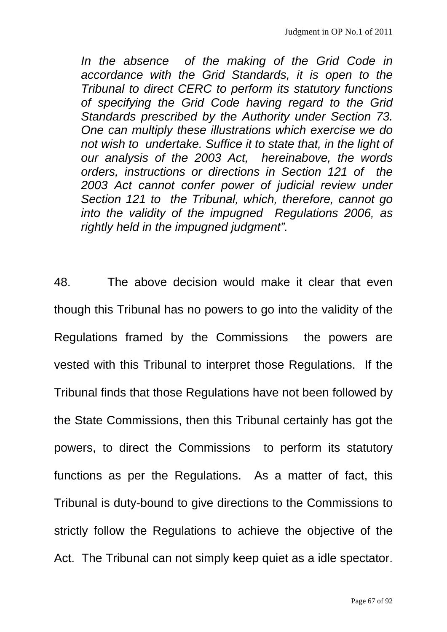*In the absence of the making of the Grid Code in accordance with the Grid Standards, it is open to the Tribunal to direct CERC to perform its statutory functions of specifying the Grid Code having regard to the Grid Standards prescribed by the Authority under Section 73. One can multiply these illustrations which exercise we do not wish to undertake. Suffice it to state that, in the light of our analysis of the 2003 Act, hereinabove, the words orders, instructions or directions in Section 121 of the 2003 Act cannot confer power of judicial review under Section 121 to the Tribunal, which, therefore, cannot go into the validity of the impugned Regulations 2006, as rightly held in the impugned judgment".* 

48. The above decision would make it clear that even though this Tribunal has no powers to go into the validity of the Regulations framed by the Commissions the powers are vested with this Tribunal to interpret those Regulations. If the Tribunal finds that those Regulations have not been followed by the State Commissions, then this Tribunal certainly has got the powers, to direct the Commissions to perform its statutory functions as per the Regulations. As a matter of fact, this Tribunal is duty-bound to give directions to the Commissions to strictly follow the Regulations to achieve the objective of the Act. The Tribunal can not simply keep quiet as a idle spectator.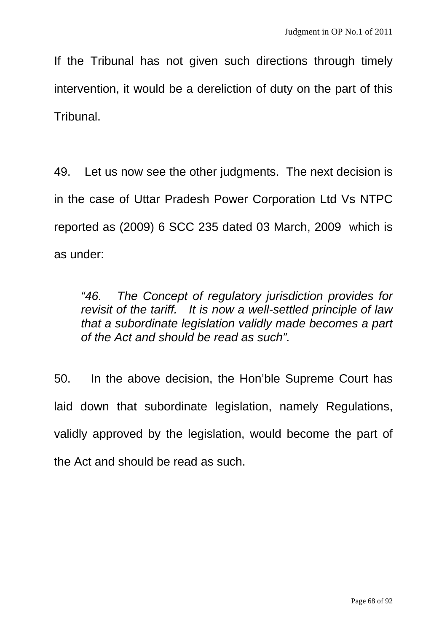If the Tribunal has not given such directions through timely intervention, it would be a dereliction of duty on the part of this Tribunal.

49. Let us now see the other judgments. The next decision is in the case of Uttar Pradesh Power Corporation Ltd Vs NTPC reported as (2009) 6 SCC 235 dated 03 March, 2009 which is as under:

*"46. The Concept of regulatory jurisdiction provides for revisit of the tariff. It is now a well-settled principle of law that a subordinate legislation validly made becomes a part of the Act and should be read as such".* 

50. In the above decision, the Hon'ble Supreme Court has laid down that subordinate legislation, namely Regulations, validly approved by the legislation, would become the part of the Act and should be read as such.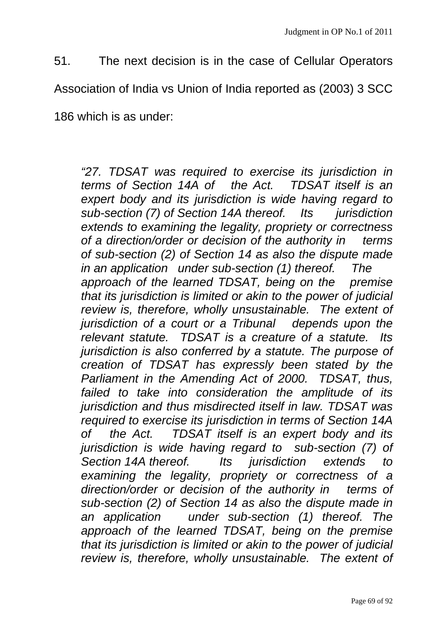51. The next decision is in the case of Cellular Operators

Association of India vs Union of India reported as (2003) 3 SCC

186 which is as under:

*"27. TDSAT was required to exercise its jurisdiction in terms of Section 14A of the Act. TDSAT itself is an expert body and its jurisdiction is wide having regard to sub-section (7) of Section 14A thereof. Its jurisdiction extends to examining the legality, propriety or correctness of a direction/order or decision of the authority in terms of sub-section (2) of Section 14 as also the dispute made in an application under sub-section (1) thereof. The approach of the learned TDSAT, being on the premise that its jurisdiction is limited or akin to the power of judicial review is, therefore, wholly unsustainable. The extent of jurisdiction of a court or a Tribunal depends upon the relevant statute. TDSAT is a creature of a statute. Its jurisdiction is also conferred by a statute. The purpose of creation of TDSAT has expressly been stated by the Parliament in the Amending Act of 2000. TDSAT, thus, failed to take into consideration the amplitude of its jurisdiction and thus misdirected itself in law. TDSAT was required to exercise its jurisdiction in terms of Section 14A of the Act. TDSAT itself is an expert body and its jurisdiction is wide having regard to sub-section (7) of Section 14A thereof. Its jurisdiction extends to examining the legality, propriety or correctness of a direction/order or decision of the authority in terms of sub-section (2) of Section 14 as also the dispute made in an application under sub-section (1) thereof. The approach of the learned TDSAT, being on the premise that its jurisdiction is limited or akin to the power of judicial review is, therefore, wholly unsustainable. The extent of*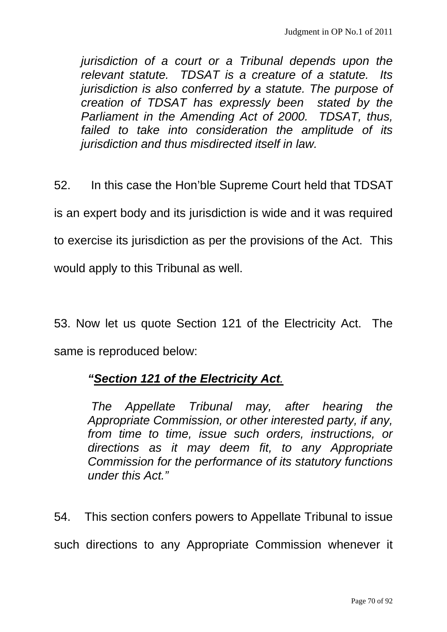*jurisdiction of a court or a Tribunal depends upon the relevant statute. TDSAT is a creature of a statute. Its jurisdiction is also conferred by a statute. The purpose of creation of TDSAT has expressly been stated by the Parliament in the Amending Act of 2000. TDSAT, thus, failed to take into consideration the amplitude of its jurisdiction and thus misdirected itself in law.* 

52. In this case the Hon'ble Supreme Court held that TDSAT is an expert body and its jurisdiction is wide and it was required to exercise its jurisdiction as per the provisions of the Act. This would apply to this Tribunal as well.

53. Now let us quote Section 121 of the Electricity Act. The same is reproduced below:

## *"Section 121 of the Electricity Act.*

 *The Appellate Tribunal may, after hearing the Appropriate Commission, or other interested party, if any, from time to time, issue such orders, instructions, or directions as it may deem fit, to any Appropriate Commission for the performance of its statutory functions under this Act."* 

54. This section confers powers to Appellate Tribunal to issue such directions to any Appropriate Commission whenever it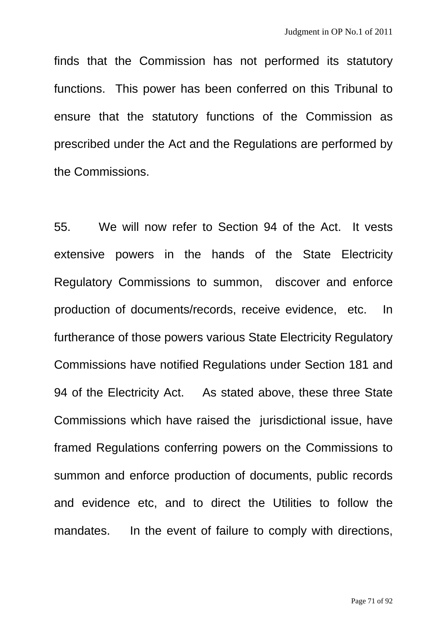finds that the Commission has not performed its statutory functions. This power has been conferred on this Tribunal to ensure that the statutory functions of the Commission as prescribed under the Act and the Regulations are performed by the Commissions.

55. We will now refer to Section 94 of the Act. It vests extensive powers in the hands of the State Electricity Regulatory Commissions to summon, discover and enforce production of documents/records, receive evidence, etc. In furtherance of those powers various State Electricity Regulatory Commissions have notified Regulations under Section 181 and 94 of the Electricity Act. As stated above, these three State Commissions which have raised the jurisdictional issue, have framed Regulations conferring powers on the Commissions to summon and enforce production of documents, public records and evidence etc, and to direct the Utilities to follow the mandates. In the event of failure to comply with directions,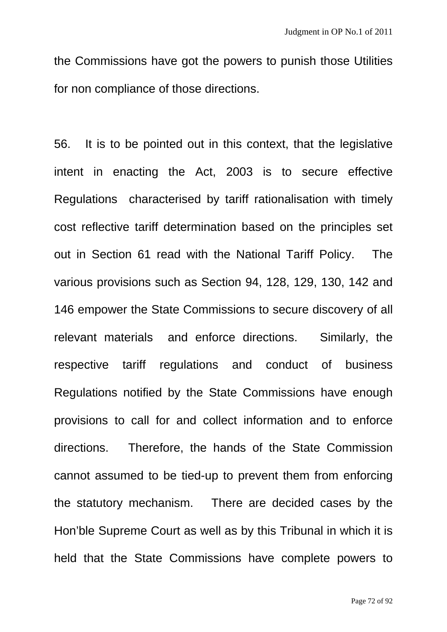the Commissions have got the powers to punish those Utilities for non compliance of those directions.

56. It is to be pointed out in this context, that the legislative intent in enacting the Act, 2003 is to secure effective Regulations characterised by tariff rationalisation with timely cost reflective tariff determination based on the principles set out in Section 61 read with the National Tariff Policy. The various provisions such as Section 94, 128, 129, 130, 142 and 146 empower the State Commissions to secure discovery of all relevant materials and enforce directions. Similarly, the respective tariff regulations and conduct of business Regulations notified by the State Commissions have enough provisions to call for and collect information and to enforce directions. Therefore, the hands of the State Commission cannot assumed to be tied-up to prevent them from enforcing the statutory mechanism. There are decided cases by the Hon'ble Supreme Court as well as by this Tribunal in which it is held that the State Commissions have complete powers to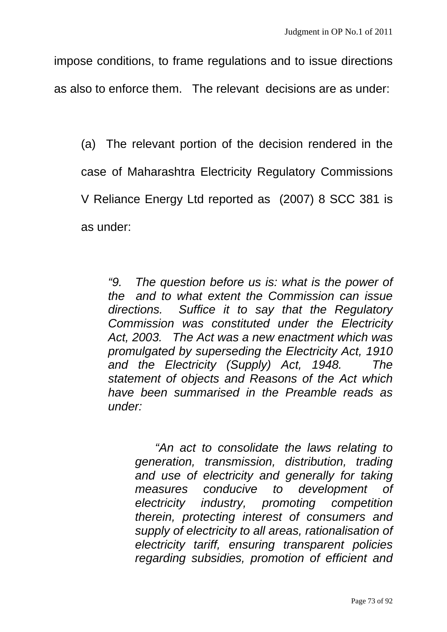impose conditions, to frame regulations and to issue directions as also to enforce them. The relevant decisions are as under:

(a) The relevant portion of the decision rendered in the case of Maharashtra Electricity Regulatory Commissions V Reliance Energy Ltd reported as (2007) 8 SCC 381 is as under:

*"9. The question before us is: what is the power of the and to what extent the Commission can issue directions. Suffice it to say that the Regulatory Commission was constituted under the Electricity Act, 2003. The Act was a new enactment which was promulgated by superseding the Electricity Act, 1910 and the Electricity (Supply) Act, 1948. The statement of objects and Reasons of the Act which have been summarised in the Preamble reads as under:* 

 *"An act to consolidate the laws relating to generation, transmission, distribution, trading and use of electricity and generally for taking measures conducive to development of electricity industry, promoting competition therein, protecting interest of consumers and supply of electricity to all areas, rationalisation of electricity tariff, ensuring transparent policies regarding subsidies, promotion of efficient and*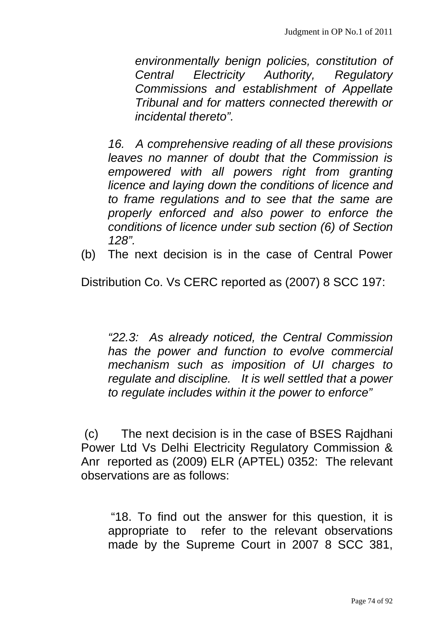*environmentally benign policies, constitution of Central Electricity Authority, Regulatory Commissions and establishment of Appellate Tribunal and for matters connected therewith or incidental thereto".* 

*16. A comprehensive reading of all these provisions leaves no manner of doubt that the Commission is empowered with all powers right from granting licence and laying down the conditions of licence and to frame regulations and to see that the same are properly enforced and also power to enforce the conditions of licence under sub section (6) of Section 128".* 

(b) The next decision is in the case of Central Power

Distribution Co. Vs CERC reported as (2007) 8 SCC 197:

*"22.3: As already noticed, the Central Commission has the power and function to evolve commercial mechanism such as imposition of UI charges to regulate and discipline. It is well settled that a power to regulate includes within it the power to enforce"* 

 (c) The next decision is in the case of BSES Rajdhani Power Ltd Vs Delhi Electricity Regulatory Commission & Anr reported as (2009) ELR (APTEL) 0352: The relevant observations are as follows:

 "18. To find out the answer for this question, it is appropriate to refer to the relevant observations made by the Supreme Court in 2007 8 SCC 381,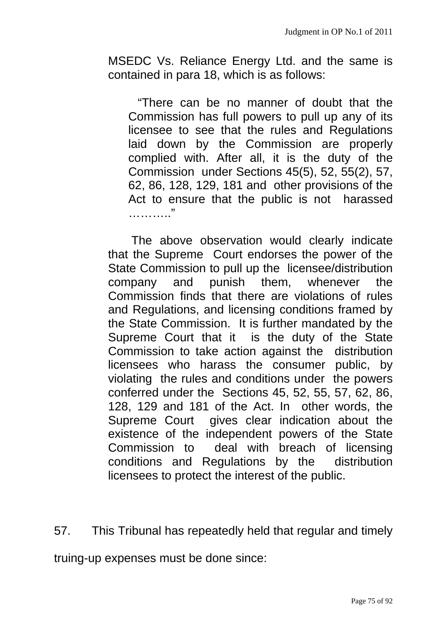MSEDC Vs. Reliance Energy Ltd. and the same is contained in para 18, which is as follows:

 "There can be no manner of doubt that the Commission has full powers to pull up any of its licensee to see that the rules and Regulations laid down by the Commission are properly complied with. After all, it is the duty of the Commission under Sections 45(5), 52, 55(2), 57, 62, 86, 128, 129, 181 and other provisions of the Act to ensure that the public is not harassed ……………

 The above observation would clearly indicate that the Supreme Court endorses the power of the State Commission to pull up the licensee/distribution company and punish them, whenever the Commission finds that there are violations of rules and Regulations, and licensing conditions framed by the State Commission. It is further mandated by the Supreme Court that it is the duty of the State Commission to take action against the distribution licensees who harass the consumer public, by violating the rules and conditions under the powers conferred under the Sections 45, 52, 55, 57, 62, 86, 128, 129 and 181 of the Act. In other words, the Supreme Court gives clear indication about the existence of the independent powers of the State Commission to deal with breach of licensing conditions and Regulations by the distribution licensees to protect the interest of the public.

57. This Tribunal has repeatedly held that regular and timely

truing-up expenses must be done since: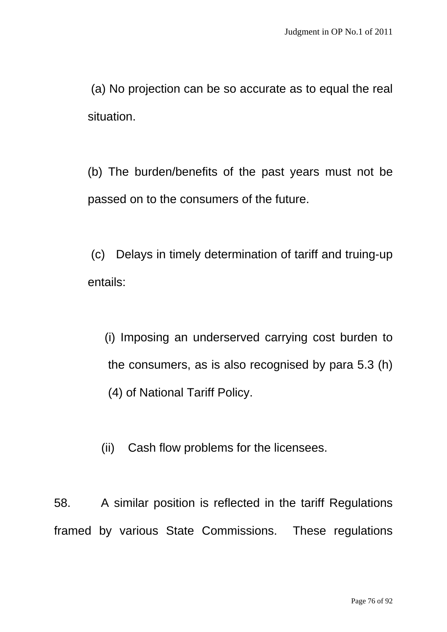(a) No projection can be so accurate as to equal the real situation.

 (b) The burden/benefits of the past years must not be passed on to the consumers of the future.

 (c) Delays in timely determination of tariff and truing-up entails:

 (i) Imposing an underserved carrying cost burden to the consumers, as is also recognised by para 5.3 (h) (4) of National Tariff Policy.

(ii) Cash flow problems for the licensees.

58. A similar position is reflected in the tariff Regulations framed by various State Commissions. These regulations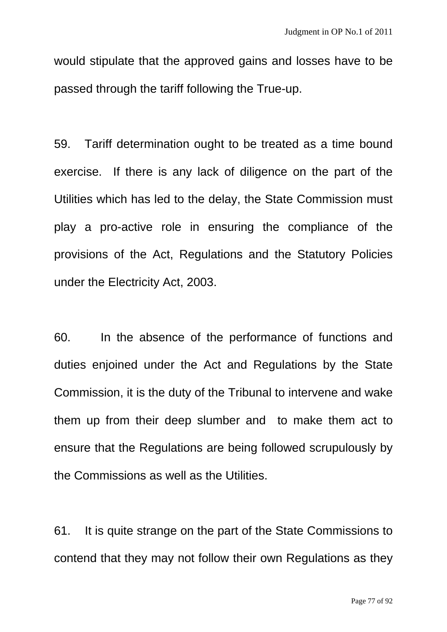would stipulate that the approved gains and losses have to be passed through the tariff following the True-up.

59. Tariff determination ought to be treated as a time bound exercise. If there is any lack of diligence on the part of the Utilities which has led to the delay, the State Commission must play a pro-active role in ensuring the compliance of the provisions of the Act, Regulations and the Statutory Policies under the Electricity Act, 2003.

60. In the absence of the performance of functions and duties enjoined under the Act and Regulations by the State Commission, it is the duty of the Tribunal to intervene and wake them up from their deep slumber and to make them act to ensure that the Regulations are being followed scrupulously by the Commissions as well as the Utilities.

61. It is quite strange on the part of the State Commissions to contend that they may not follow their own Regulations as they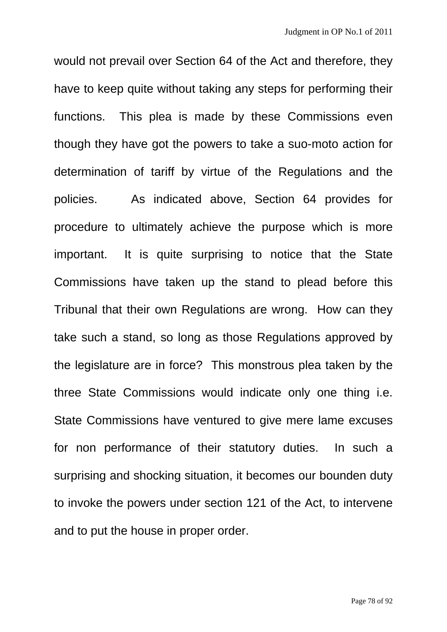would not prevail over Section 64 of the Act and therefore, they have to keep quite without taking any steps for performing their functions. This plea is made by these Commissions even though they have got the powers to take a suo-moto action for determination of tariff by virtue of the Regulations and the policies. As indicated above, Section 64 provides for procedure to ultimately achieve the purpose which is more important. It is quite surprising to notice that the State Commissions have taken up the stand to plead before this Tribunal that their own Regulations are wrong. How can they take such a stand, so long as those Regulations approved by the legislature are in force? This monstrous plea taken by the three State Commissions would indicate only one thing i.e. State Commissions have ventured to give mere lame excuses for non performance of their statutory duties. In such a surprising and shocking situation, it becomes our bounden duty to invoke the powers under section 121 of the Act, to intervene and to put the house in proper order.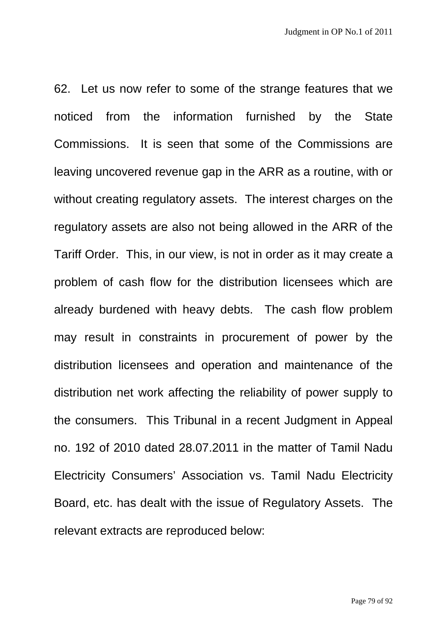62. Let us now refer to some of the strange features that we noticed from the information furnished by the State Commissions. It is seen that some of the Commissions are leaving uncovered revenue gap in the ARR as a routine, with or without creating regulatory assets. The interest charges on the regulatory assets are also not being allowed in the ARR of the Tariff Order. This, in our view, is not in order as it may create a problem of cash flow for the distribution licensees which are already burdened with heavy debts. The cash flow problem may result in constraints in procurement of power by the distribution licensees and operation and maintenance of the distribution net work affecting the reliability of power supply to the consumers. This Tribunal in a recent Judgment in Appeal no. 192 of 2010 dated 28.07.2011 in the matter of Tamil Nadu Electricity Consumers' Association vs. Tamil Nadu Electricity Board, etc. has dealt with the issue of Regulatory Assets. The relevant extracts are reproduced below: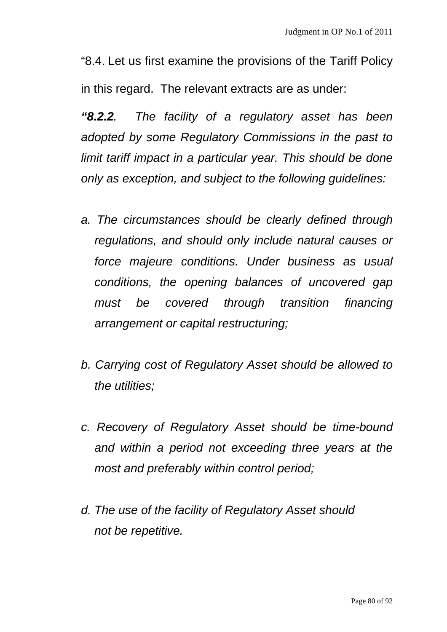"8.4. Let us first examine the provisions of the Tariff Policy in this regard. The relevant extracts are as under:

*"8.2.2. The facility of a regulatory asset has been adopted by some Regulatory Commissions in the past to limit tariff impact in a particular year. This should be done only as exception, and subject to the following guidelines:* 

- *a. The circumstances should be clearly defined through regulations, and should only include natural causes or force majeure conditions. Under business as usual conditions, the opening balances of uncovered gap must be covered through transition financing arrangement or capital restructuring;*
- *b. Carrying cost of Regulatory Asset should be allowed to the utilities;*
- *c. Recovery of Regulatory Asset should be time-bound and within a period not exceeding three years at the most and preferably within control period;*
- *d. The use of the facility of Regulatory Asset should not be repetitive.*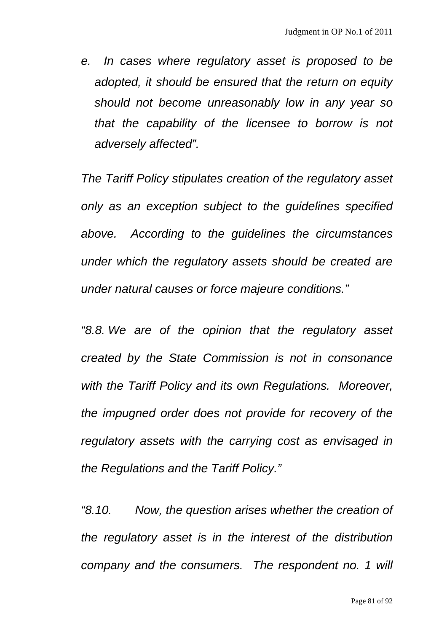*e. In cases where regulatory asset is proposed to be adopted, it should be ensured that the return on equity should not become unreasonably low in any year so that the capability of the licensee to borrow is not adversely affected".* 

*The Tariff Policy stipulates creation of the regulatory asset only as an exception subject to the guidelines specified above. According to the guidelines the circumstances under which the regulatory assets should be created are under natural causes or force majeure conditions."* 

*"8.8. We are of the opinion that the regulatory asset created by the State Commission is not in consonance with the Tariff Policy and its own Regulations. Moreover, the impugned order does not provide for recovery of the regulatory assets with the carrying cost as envisaged in the Regulations and the Tariff Policy."* 

*"8.10. Now, the question arises whether the creation of the regulatory asset is in the interest of the distribution company and the consumers. The respondent no. 1 will*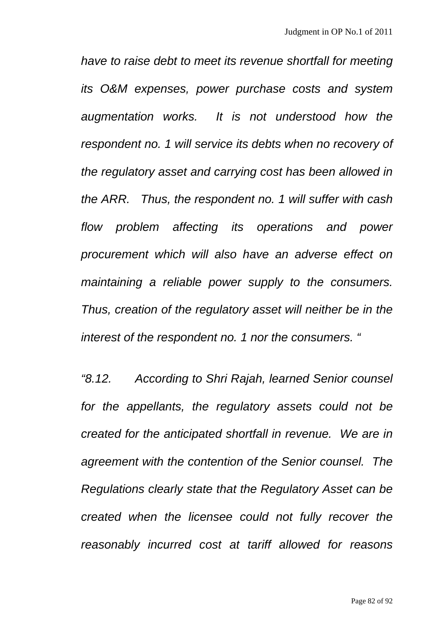*have to raise debt to meet its revenue shortfall for meeting its O&M expenses, power purchase costs and system augmentation works. It is not understood how the respondent no. 1 will service its debts when no recovery of the regulatory asset and carrying cost has been allowed in the ARR. Thus, the respondent no. 1 will suffer with cash flow problem affecting its operations and power procurement which will also have an adverse effect on maintaining a reliable power supply to the consumers. Thus, creation of the regulatory asset will neither be in the interest of the respondent no. 1 nor the consumers. "* 

*"8.12. According to Shri Rajah, learned Senior counsel for the appellants, the regulatory assets could not be created for the anticipated shortfall in revenue. We are in agreement with the contention of the Senior counsel. The Regulations clearly state that the Regulatory Asset can be created when the licensee could not fully recover the reasonably incurred cost at tariff allowed for reasons*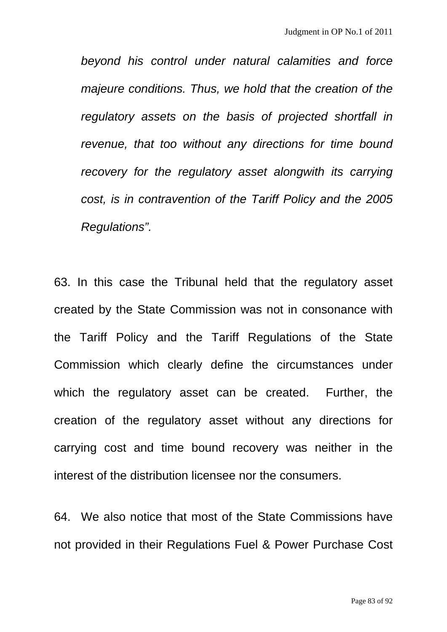*beyond his control under natural calamities and force majeure conditions. Thus, we hold that the creation of the regulatory assets on the basis of projected shortfall in revenue, that too without any directions for time bound recovery for the regulatory asset alongwith its carrying cost, is in contravention of the Tariff Policy and the 2005 Regulations".* 

63. In this case the Tribunal held that the regulatory asset created by the State Commission was not in consonance with the Tariff Policy and the Tariff Regulations of the State Commission which clearly define the circumstances under which the regulatory asset can be created. Further, the creation of the regulatory asset without any directions for carrying cost and time bound recovery was neither in the interest of the distribution licensee nor the consumers.

64. We also notice that most of the State Commissions have not provided in their Regulations Fuel & Power Purchase Cost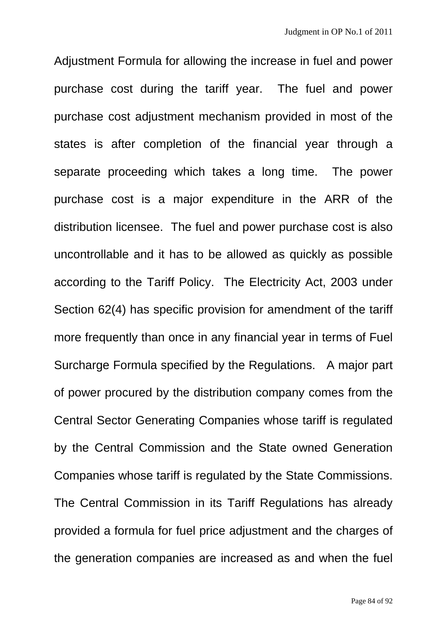Adjustment Formula for allowing the increase in fuel and power purchase cost during the tariff year. The fuel and power purchase cost adjustment mechanism provided in most of the states is after completion of the financial year through a separate proceeding which takes a long time. The power purchase cost is a major expenditure in the ARR of the distribution licensee. The fuel and power purchase cost is also uncontrollable and it has to be allowed as quickly as possible according to the Tariff Policy. The Electricity Act, 2003 under Section 62(4) has specific provision for amendment of the tariff more frequently than once in any financial year in terms of Fuel Surcharge Formula specified by the Regulations. A major part of power procured by the distribution company comes from the Central Sector Generating Companies whose tariff is regulated by the Central Commission and the State owned Generation Companies whose tariff is regulated by the State Commissions. The Central Commission in its Tariff Regulations has already provided a formula for fuel price adjustment and the charges of the generation companies are increased as and when the fuel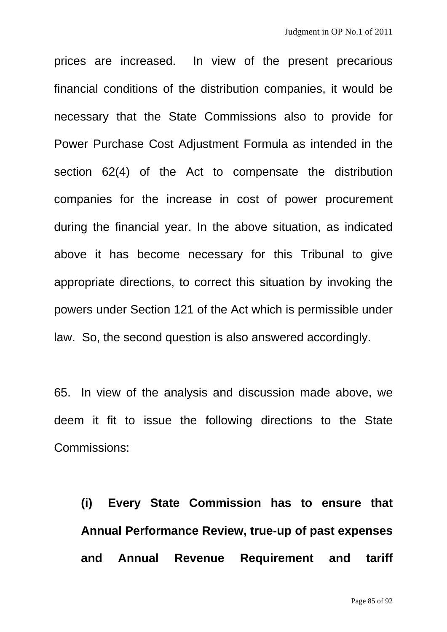prices are increased. In view of the present precarious financial conditions of the distribution companies, it would be necessary that the State Commissions also to provide for Power Purchase Cost Adjustment Formula as intended in the section 62(4) of the Act to compensate the distribution companies for the increase in cost of power procurement during the financial year. In the above situation, as indicated above it has become necessary for this Tribunal to give appropriate directions, to correct this situation by invoking the powers under Section 121 of the Act which is permissible under law. So, the second question is also answered accordingly.

65. In view of the analysis and discussion made above, we deem it fit to issue the following directions to the State Commissions:

**(i) Every State Commission has to ensure that Annual Performance Review, true-up of past expenses and Annual Revenue Requirement and tariff**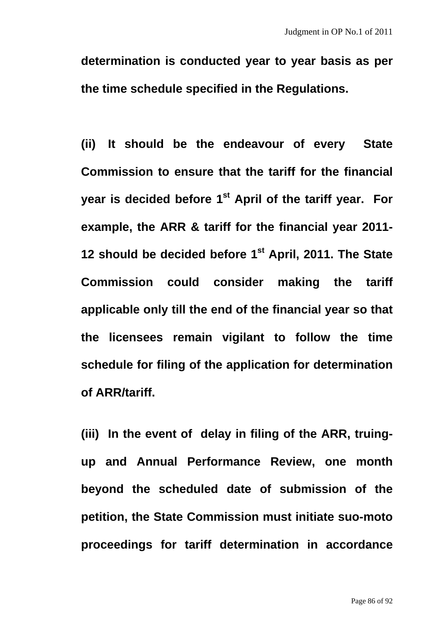**determination is conducted year to year basis as per the time schedule specified in the Regulations.** 

**(ii) It should be the endeavour of every State Commission to ensure that the tariff for the financial**  vear is decided before 1<sup>st</sup> April of the tariff year. For **example, the ARR & tariff for the financial year 2011- 12 should be decided before 1st April, 2011. The State Commission could consider making the tariff applicable only till the end of the financial year so that the licensees remain vigilant to follow the time schedule for filing of the application for determination of ARR/tariff.** 

**(iii) In the event of delay in filing of the ARR, truingup and Annual Performance Review, one month beyond the scheduled date of submission of the petition, the State Commission must initiate suo-moto proceedings for tariff determination in accordance**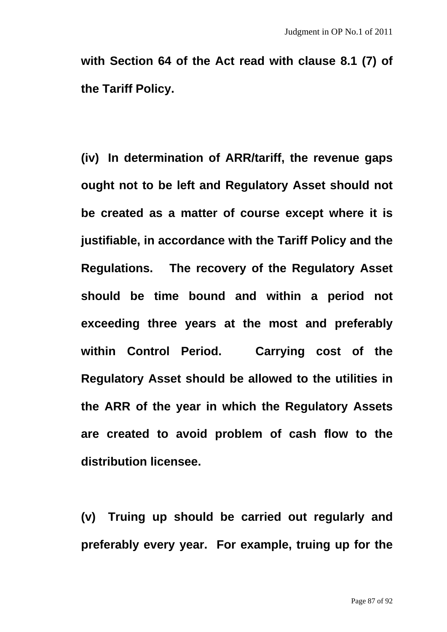**with Section 64 of the Act read with clause 8.1 (7) of the Tariff Policy.** 

**(iv) In determination of ARR/tariff, the revenue gaps ought not to be left and Regulatory Asset should not be created as a matter of course except where it is justifiable, in accordance with the Tariff Policy and the Regulations. The recovery of the Regulatory Asset should be time bound and within a period not exceeding three years at the most and preferably within Control Period. Carrying cost of the Regulatory Asset should be allowed to the utilities in the ARR of the year in which the Regulatory Assets are created to avoid problem of cash flow to the distribution licensee.** 

**(v) Truing up should be carried out regularly and preferably every year. For example, truing up for the**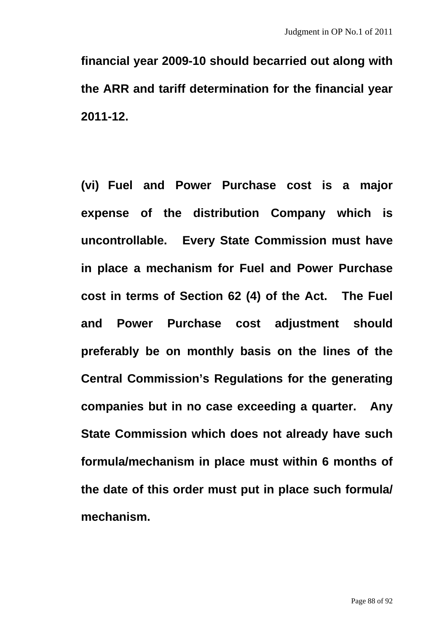**financial year 2009-10 should becarried out along with the ARR and tariff determination for the financial year 2011-12.** 

**(vi) Fuel and Power Purchase cost is a major expense of the distribution Company which is uncontrollable. Every State Commission must have in place a mechanism for Fuel and Power Purchase cost in terms of Section 62 (4) of the Act. The Fuel and Power Purchase cost adjustment should preferably be on monthly basis on the lines of the Central Commission's Regulations for the generating companies but in no case exceeding a quarter. Any State Commission which does not already have such formula/mechanism in place must within 6 months of the date of this order must put in place such formula/ mechanism.**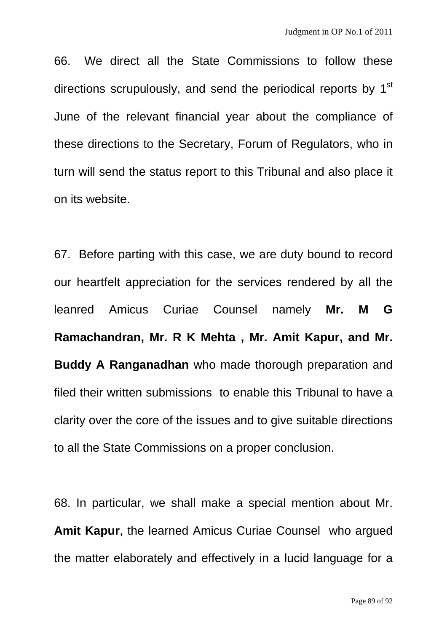66. We direct all the State Commissions to follow these directions scrupulously, and send the periodical reports by 1<sup>st</sup> June of the relevant financial year about the compliance of these directions to the Secretary, Forum of Regulators, who in turn will send the status report to this Tribunal and also place it on its website.

67. Before parting with this case, we are duty bound to record our heartfelt appreciation for the services rendered by all the leanred Amicus Curiae Counsel namely **Mr. M G Ramachandran, Mr. R K Mehta , Mr. Amit Kapur, and Mr. Buddy A Ranganadhan** who made thorough preparation and filed their written submissions to enable this Tribunal to have a clarity over the core of the issues and to give suitable directions to all the State Commissions on a proper conclusion.

68. In particular, we shall make a special mention about Mr. **Amit Kapur**, the learned Amicus Curiae Counsel who argued the matter elaborately and effectively in a lucid language for a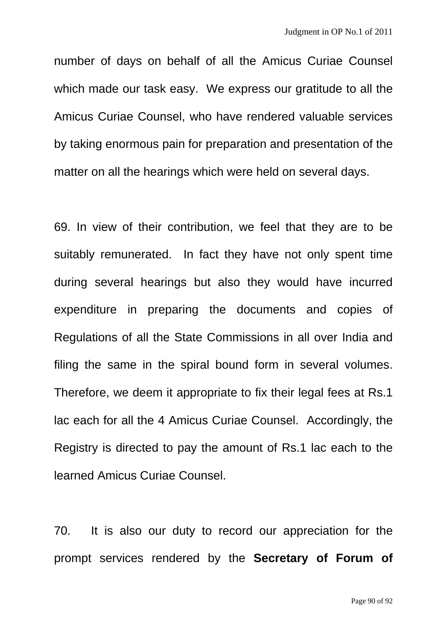number of days on behalf of all the Amicus Curiae Counsel which made our task easy. We express our gratitude to all the Amicus Curiae Counsel, who have rendered valuable services by taking enormous pain for preparation and presentation of the matter on all the hearings which were held on several days.

69. In view of their contribution, we feel that they are to be suitably remunerated. In fact they have not only spent time during several hearings but also they would have incurred expenditure in preparing the documents and copies of Regulations of all the State Commissions in all over India and filing the same in the spiral bound form in several volumes. Therefore, we deem it appropriate to fix their legal fees at Rs.1 lac each for all the 4 Amicus Curiae Counsel. Accordingly, the Registry is directed to pay the amount of Rs.1 lac each to the learned Amicus Curiae Counsel.

70. It is also our duty to record our appreciation for the prompt services rendered by the **Secretary of Forum of**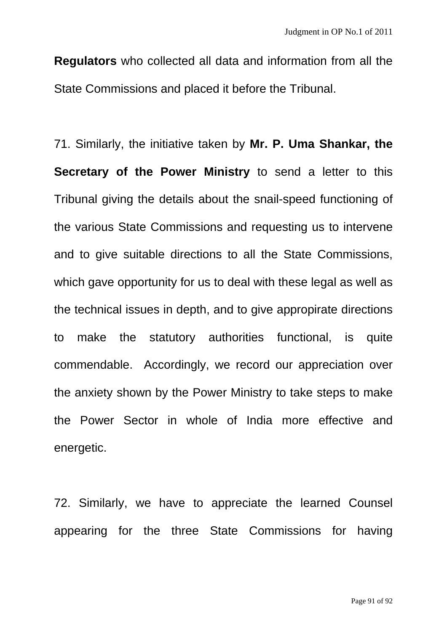**Regulators** who collected all data and information from all the State Commissions and placed it before the Tribunal.

71. Similarly, the initiative taken by **Mr. P. Uma Shankar, the Secretary of the Power Ministry** to send a letter to this Tribunal giving the details about the snail-speed functioning of the various State Commissions and requesting us to intervene and to give suitable directions to all the State Commissions, which gave opportunity for us to deal with these legal as well as the technical issues in depth, and to give appropirate directions to make the statutory authorities functional, is quite commendable. Accordingly, we record our appreciation over the anxiety shown by the Power Ministry to take steps to make the Power Sector in whole of India more effective and energetic.

72. Similarly, we have to appreciate the learned Counsel appearing for the three State Commissions for having